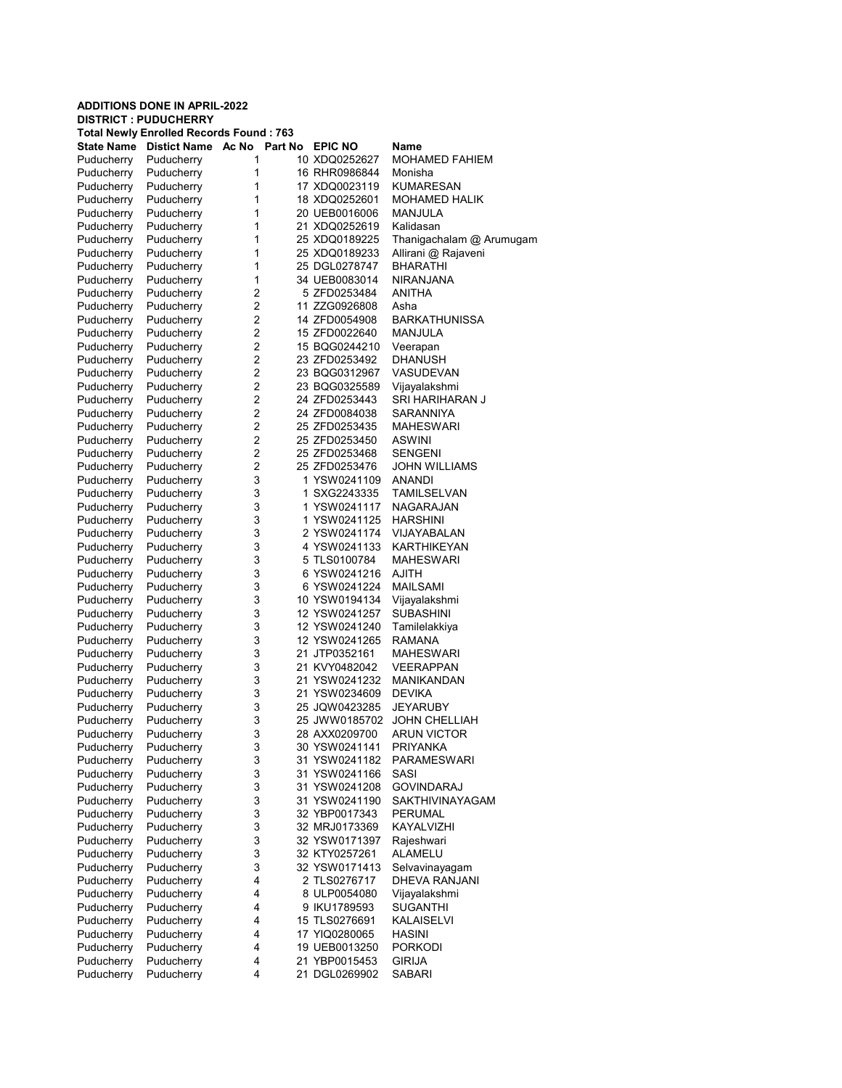| <b>ADDITIONS DONE IN APRIL-2022</b> |                                                                               |                     |  |                                |                                |  |  |  |  |
|-------------------------------------|-------------------------------------------------------------------------------|---------------------|--|--------------------------------|--------------------------------|--|--|--|--|
|                                     | <b>DISTRICT: PUDUCHERRY</b><br><b>Total Newly Enrolled Records Found: 763</b> |                     |  |                                |                                |  |  |  |  |
| <b>State Name</b>                   | <b>Distict Name</b>                                                           | Ac No<br>Part No    |  | <b>EPIC NO</b>                 | <b>Name</b>                    |  |  |  |  |
| Puducherry                          | Puducherry                                                                    | 1                   |  | 10 XDQ0252627                  | <b>MOHAMED FAHIEM</b>          |  |  |  |  |
| Puducherry                          | Puducherry                                                                    | 1                   |  | 16 RHR0986844                  | Monisha                        |  |  |  |  |
| Puducherry                          | Puducherry                                                                    | 1                   |  | 17 XDQ0023119                  | KUMARESAN                      |  |  |  |  |
| Puducherry                          | Puducherry                                                                    | 1                   |  | 18 XDQ0252601                  | MOHAMED HALIK                  |  |  |  |  |
| Puducherry                          | Puducherry                                                                    | 1                   |  | 20 UEB0016006                  | MANJULA                        |  |  |  |  |
| Puducherry                          | Puducherry                                                                    | 1                   |  | 21 XDQ0252619                  | Kalidasan                      |  |  |  |  |
| Puducherry                          | Puducherry                                                                    | 1                   |  | 25 XDQ0189225                  | Thanigachalam @ Arumugam       |  |  |  |  |
| Puducherry                          | Puducherry                                                                    | 1                   |  | 25 XDQ0189233                  | Allirani @ Rajaveni            |  |  |  |  |
| Puducherry                          | Puducherry                                                                    | 1                   |  | 25 DGL0278747                  | <b>BHARATHI</b>                |  |  |  |  |
| Puducherry                          | Puducherry                                                                    | 1                   |  | 34 UEB0083014                  | <b>NIRANJANA</b>               |  |  |  |  |
| Puducherry                          | Puducherry                                                                    | 2                   |  | 5 ZFD0253484                   | ANITHA                         |  |  |  |  |
| Puducherry                          | Puducherry                                                                    | 2                   |  | 11 ZZG0926808                  | Asha                           |  |  |  |  |
| Puducherry                          | Puducherry                                                                    | $\overline{2}$      |  | 14 ZFD0054908                  | <b>BARKATHUNISSA</b>           |  |  |  |  |
| Puducherry                          | Puducherry                                                                    | 2                   |  | 15 ZFD0022640                  | MANJULA                        |  |  |  |  |
| Puducherry                          | Puducherry                                                                    | $\overline{2}$<br>2 |  | 15 BQG0244210                  | Veerapan                       |  |  |  |  |
| Puducherry                          | Puducherry                                                                    | $\overline{2}$      |  | 23 ZFD0253492<br>23 BQG0312967 | DHANUSH<br><b>VASUDEVAN</b>    |  |  |  |  |
| Puducherry<br>Puducherry            | Puducherry<br>Puducherry                                                      | 2                   |  | 23 BQG0325589                  | Vijayalakshmi                  |  |  |  |  |
| Puducherry                          | Puducherry                                                                    | $\overline{2}$      |  | 24 ZFD0253443                  | SRI HARIHARAN J                |  |  |  |  |
| Puducherry                          | Puducherry                                                                    | 2                   |  | 24 ZFD0084038                  | SARANNIYA                      |  |  |  |  |
| Puducherry                          | Puducherry                                                                    | $\overline{2}$      |  | 25 ZFD0253435                  | MAHESWARI                      |  |  |  |  |
| Puducherry                          | Puducherry                                                                    | 2                   |  | 25 ZFD0253450                  | <b>ASWINI</b>                  |  |  |  |  |
| Puducherry                          | Puducherry                                                                    | $\overline{2}$      |  | 25 ZFD0253468                  | <b>SENGENI</b>                 |  |  |  |  |
| Puducherry                          | Puducherry                                                                    | 2                   |  | 25 ZFD0253476                  | <b>JOHN WILLIAMS</b>           |  |  |  |  |
| Puducherry                          | Puducherry                                                                    | 3                   |  | 1 YSW0241109                   | <b>ANANDI</b>                  |  |  |  |  |
| Puducherry                          | Puducherry                                                                    | 3                   |  | 1 SXG2243335                   | <b>TAMILSELVAN</b>             |  |  |  |  |
| Puducherry                          | Puducherry                                                                    | 3                   |  | 1 YSW0241117                   | NAGARAJAN                      |  |  |  |  |
| Puducherry                          | Puducherry                                                                    | 3                   |  | 1 YSW0241125                   | <b>HARSHINI</b>                |  |  |  |  |
| Puducherry                          | Puducherry                                                                    | 3                   |  | 2 YSW0241174                   | VIJAYABALAN                    |  |  |  |  |
| Puducherry                          | Puducherry                                                                    | 3                   |  | 4 YSW0241133                   | KARTHIKEYAN                    |  |  |  |  |
| Puducherry                          | Puducherry                                                                    | 3                   |  | 5 TLS0100784                   | <b>MAHESWARI</b>               |  |  |  |  |
| Puducherry                          | Puducherry                                                                    | 3                   |  | 6 YSW0241216                   | AJITH                          |  |  |  |  |
| Puducherry                          | Puducherry                                                                    | 3                   |  | 6 YSW0241224                   | <b>MAILSAMI</b>                |  |  |  |  |
| Puducherry                          | Puducherry                                                                    | 3                   |  | 10 YSW0194134                  | Vijayalakshmi                  |  |  |  |  |
| Puducherry                          | Puducherry                                                                    | 3                   |  | 12 YSW0241257                  | <b>SUBASHINI</b>               |  |  |  |  |
| Puducherry                          | Puducherry                                                                    | 3                   |  | 12 YSW0241240                  | Tamilelakkiya                  |  |  |  |  |
| Puducherry                          | Puducherry                                                                    | 3                   |  | 12 YSW0241265                  | RAMANA                         |  |  |  |  |
| Puducherry                          | Puducherry                                                                    | 3<br>3              |  | 21 JTP0352161                  | MAHESWARI                      |  |  |  |  |
| Puducherry                          | Puducherry<br>Puducherry                                                      | 3                   |  | 21 KVY0482042<br>21 YSW0241232 | <b>VEERAPPAN</b><br>MANIKANDAN |  |  |  |  |
| Puducherry<br>Puducherry            | Puducherry                                                                    | 3                   |  | 21 YSW0234609                  | <b>DEVIKA</b>                  |  |  |  |  |
| Puducherry                          | Puducherry                                                                    | 3                   |  | 25 JQW0423285                  | JEYARUBY                       |  |  |  |  |
| Puducherry                          | Puducherry                                                                    | 3                   |  | 25 JWW0185702                  | <b>JOHN CHELLIAH</b>           |  |  |  |  |
| Puducherry                          | Puducherry                                                                    | 3                   |  | 28 AXX0209700                  | <b>ARUN VICTOR</b>             |  |  |  |  |
| Puducherry                          | Puducherry                                                                    | 3                   |  | 30 YSW0241141                  | <b>PRIYANKA</b>                |  |  |  |  |
| Puducherry                          | Puducherry                                                                    | 3                   |  | 31 YSW0241182                  | <b>PARAMESWARI</b>             |  |  |  |  |
| Puducherry                          | Puducherry                                                                    | 3                   |  | 31 YSW0241166                  | SASI                           |  |  |  |  |
| Puducherry                          | Puducherry                                                                    | 3                   |  | 31 YSW0241208                  | <b>GOVINDARAJ</b>              |  |  |  |  |
| Puducherry                          | Puducherry                                                                    | 3                   |  | 31 YSW0241190                  | SAKTHIVINAYAGAM                |  |  |  |  |
| Puducherry                          | Puducherry                                                                    | 3                   |  | 32 YBP0017343                  | <b>PERUMAL</b>                 |  |  |  |  |
| Puducherry                          | Puducherry                                                                    | 3                   |  | 32 MRJ0173369                  | KAYALVIZHI                     |  |  |  |  |
| Puducherry                          | Puducherry                                                                    | 3                   |  | 32 YSW0171397                  | Rajeshwari                     |  |  |  |  |
| Puducherry                          | Puducherry                                                                    | 3                   |  | 32 KTY0257261                  | <b>ALAMELU</b>                 |  |  |  |  |
| Puducherry                          | Puducherry                                                                    | 3                   |  | 32 YSW0171413                  | Selvavinayagam                 |  |  |  |  |
| Puducherry                          | Puducherry                                                                    | 4                   |  | 2 TLS0276717                   | DHEVA RANJANI                  |  |  |  |  |
| Puducherry                          | Puducherry                                                                    | 4                   |  | 8 ULP0054080                   | Vijayalakshmi                  |  |  |  |  |
| Puducherry                          | Puducherry                                                                    | 4                   |  | 9 IKU1789593                   | <b>SUGANTHI</b>                |  |  |  |  |
| Puducherry                          | Puducherry                                                                    | 4                   |  | 15 TLS0276691                  | <b>KALAISELVI</b>              |  |  |  |  |
| Puducherry                          | Puducherry                                                                    | 4                   |  | 17 YIQ0280065                  | <b>HASINI</b>                  |  |  |  |  |
| Puducherry                          | Puducherry                                                                    | 4                   |  | 19 UEB0013250                  | <b>PORKODI</b>                 |  |  |  |  |
| Puducherry                          | Puducherry                                                                    | 4<br>4              |  | 21 YBP0015453                  | <b>GIRIJA</b>                  |  |  |  |  |
| Puducherry                          | Puducherry                                                                    |                     |  | 21 DGL0269902                  | SABARI                         |  |  |  |  |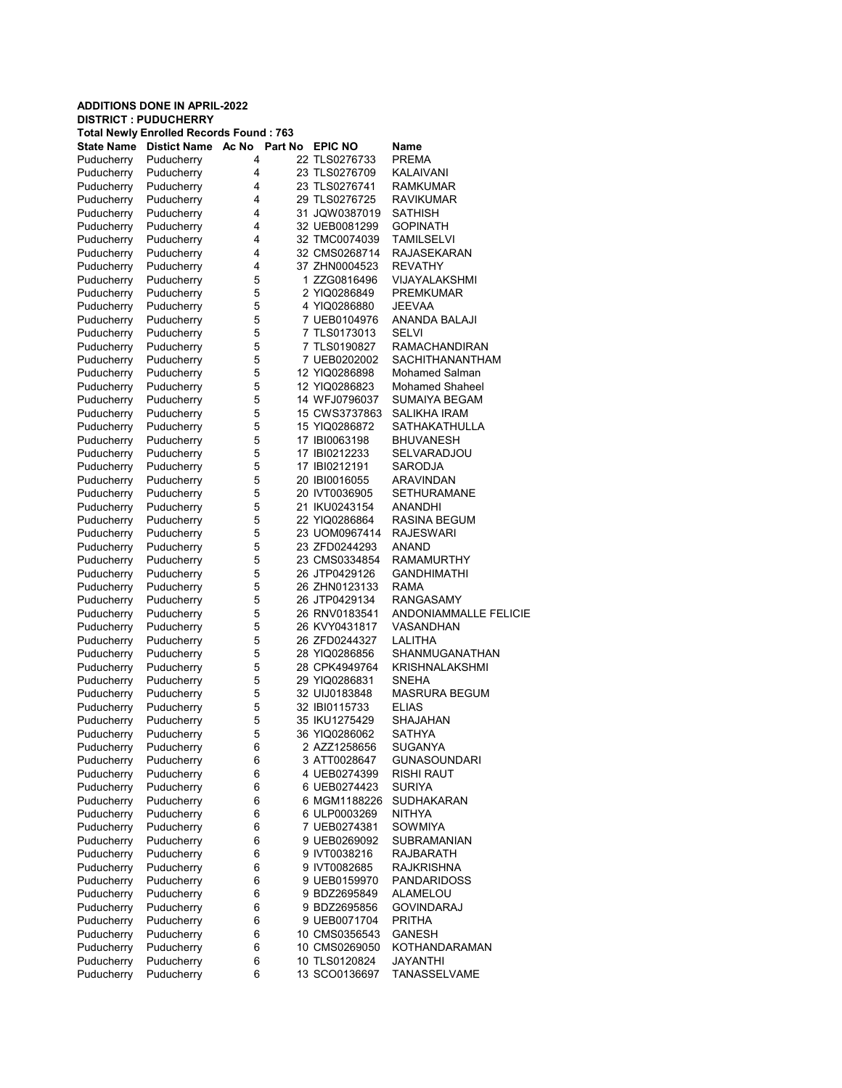|                          | <b>ADDITIONS DONE IN APRIL-2022</b><br><b>DISTRICT: PUDUCHERRY</b> |                  |  |                                |                                       |  |  |  |
|--------------------------|--------------------------------------------------------------------|------------------|--|--------------------------------|---------------------------------------|--|--|--|
|                          | <b>Total Newly Enrolled Records Found: 763</b>                     |                  |  |                                |                                       |  |  |  |
|                          | <b>State Name</b> Distict Name                                     | Ac No<br>Part No |  | <b>EPIC NO</b>                 | Name                                  |  |  |  |
| Puducherry               | Puducherry                                                         | 4                |  | 22 TLS0276733                  | <b>PREMA</b>                          |  |  |  |
| Puducherry               | Puducherry                                                         | 4                |  | 23 TLS0276709                  | <b>KALAIVANI</b>                      |  |  |  |
| Puducherry               | Puducherry                                                         | 4                |  | 23 TLS0276741                  | <b>RAMKUMAR</b>                       |  |  |  |
| Puducherry               | Puducherry                                                         | 4                |  | 29 TLS0276725                  | <b>RAVIKUMAR</b>                      |  |  |  |
| Puducherry               | Puducherry                                                         | 4                |  | 31 JQW0387019                  | SATHISH                               |  |  |  |
| Puducherry               | Puducherry                                                         | 4                |  | 32 UEB0081299                  | <b>GOPINATH</b>                       |  |  |  |
| Puducherry               | Puducherry                                                         | 4                |  | 32 TMC0074039                  | <b>TAMILSELVI</b>                     |  |  |  |
| Puducherry               | Puducherry                                                         | 4                |  | 32 CMS0268714                  | RAJASEKARAN                           |  |  |  |
| Puducherry               | Puducherry                                                         | 4                |  | 37 ZHN0004523                  | REVATHY                               |  |  |  |
| Puducherry               | Puducherry                                                         | 5                |  | 1 ZZG0816496                   | VIJAYALAKSHMI                         |  |  |  |
| Puducherry               | Puducherry                                                         | 5                |  | 2 YIQ0286849                   | <b>PREMKUMAR</b>                      |  |  |  |
| Puducherry               | Puducherry                                                         | 5                |  | 4 YIQ0286880                   | <b>JEEVAA</b>                         |  |  |  |
| Puducherry               | Puducherry                                                         | 5                |  | 7 UEB0104976                   | ANANDA BALAJI                         |  |  |  |
| Puducherry               | Puducherry                                                         | 5                |  | 7 TLS0173013                   | <b>SELVI</b>                          |  |  |  |
| Puducherry               | Puducherry                                                         | 5                |  | 7 TLS0190827                   | <b>RAMACHANDIRAN</b>                  |  |  |  |
| Puducherry               | Puducherry                                                         | 5                |  | 7 UEB0202002                   | <b>SACHITHANANTHAM</b>                |  |  |  |
| Puducherry               | Puducherry                                                         | 5                |  | 12 YIQ0286898                  | <b>Mohamed Salman</b>                 |  |  |  |
| Puducherry               | Puducherry                                                         | 5                |  | 12 YIQ0286823                  | <b>Mohamed Shaheel</b>                |  |  |  |
| Puducherry               | Puducherry                                                         | 5                |  | 14 WFJ0796037                  | SUMAIYA BEGAM                         |  |  |  |
| Puducherry<br>Puducherry | Puducherry<br>Puducherry                                           | 5<br>5           |  | 15 CWS3737863<br>15 YIQ0286872 | SALIKHA IRAM<br><b>SATHAKATHULLA</b>  |  |  |  |
|                          | Puducherry                                                         | 5                |  | 17 IBI0063198                  | <b>BHUVANESH</b>                      |  |  |  |
| Puducherry<br>Puducherry | Puducherry                                                         | 5                |  | 17 IBI0212233                  | <b>SELVARADJOU</b>                    |  |  |  |
| Puducherry               | Puducherry                                                         | 5                |  | 17 IBI0212191                  | <b>SARODJA</b>                        |  |  |  |
| Puducherry               | Puducherry                                                         | 5                |  | 20 IBI0016055                  | ARAVINDAN                             |  |  |  |
| Puducherry               | Puducherry                                                         | 5                |  | 20 IVT0036905                  | <b>SETHURAMANE</b>                    |  |  |  |
| Puducherry               | Puducherry                                                         | 5                |  | 21 IKU0243154                  | ANANDHI                               |  |  |  |
| Puducherry               | Puducherry                                                         | 5                |  | 22 YIQ0286864                  | RASINA BEGUM                          |  |  |  |
| Puducherry               | Puducherry                                                         | 5                |  | 23 UOM0967414                  | RAJESWARI                             |  |  |  |
| Puducherry               | Puducherry                                                         | 5                |  | 23 ZFD0244293                  | ANAND                                 |  |  |  |
| Puducherry               | Puducherry                                                         | 5                |  | 23 CMS0334854                  | <b>RAMAMURTHY</b>                     |  |  |  |
| Puducherry               | Puducherry                                                         | 5                |  | 26 JTP0429126                  | <b>GANDHIMATHI</b>                    |  |  |  |
| Puducherry               | Puducherry                                                         | 5                |  | 26 ZHN0123133                  | <b>RAMA</b>                           |  |  |  |
| Puducherry               | Puducherry                                                         | 5                |  | 26 JTP0429134                  | RANGASAMY                             |  |  |  |
| Puducherry               | Puducherry                                                         | 5                |  | 26 RNV0183541                  | <b>ANDONIAMMALLE FELICIE</b>          |  |  |  |
| Puducherry               | Puducherry                                                         | 5                |  | 26 KVY0431817                  | VASANDHAN                             |  |  |  |
| Puducherry               | Puducherry                                                         | 5                |  | 26 ZFD0244327                  | LALITHA                               |  |  |  |
| Puducherry               | Puducherry                                                         | 5                |  | 28 YIQ0286856                  | SHANMUGANATHAN                        |  |  |  |
| Puducherry               | Puducherry                                                         | 5                |  | 28 CPK4949764                  | <b>KRISHNALAKSHMI</b>                 |  |  |  |
| Puducherry               | Puducherry                                                         | 5                |  | 29 YIQ0286831                  | <b>SNEHA</b>                          |  |  |  |
| Puducherry               | Puducherry                                                         | 5                |  | 32 UIJ0183848                  | MASRURA BEGUM                         |  |  |  |
| Puducherry               | Puducherry                                                         | 5                |  | 32 IBI0115733                  | ELIAS                                 |  |  |  |
| Puducherry               | Puducherry                                                         | 5                |  | 35 IKU1275429                  | <b>SHAJAHAN</b>                       |  |  |  |
| Puducherry               | Puducherry                                                         | 5                |  | 36 YIQ0286062                  | <b>SATHYA</b>                         |  |  |  |
| Puducherry<br>Puducherry | Puducherry<br>Puducherry                                           | 6<br>6           |  | 2 AZZ1258656                   | <b>SUGANYA</b><br><b>GUNASOUNDARI</b> |  |  |  |
| Puducherry               | Puducherry                                                         | 6                |  | 3 ATT0028647<br>4 UEB0274399   | RISHI RAUT                            |  |  |  |
| Puducherry               | Puducherry                                                         | 6                |  | 6 UEB0274423                   | <b>SURIYA</b>                         |  |  |  |
| Puducherry               | Puducherry                                                         | 6                |  | 6 MGM1188226                   | <b>SUDHAKARAN</b>                     |  |  |  |
| Puducherry               | Puducherry                                                         | 6                |  | 6 ULP0003269                   | <b>NITHYA</b>                         |  |  |  |
| Puducherry               | Puducherry                                                         | 6                |  | 7 UEB0274381                   | <b>SOWMIYA</b>                        |  |  |  |
| Puducherry               | Puducherry                                                         | 6                |  | 9 UEB0269092                   | <b>SUBRAMANIAN</b>                    |  |  |  |
| Puducherry               | Puducherry                                                         | 6                |  | 9 IVT0038216                   | RAJBARATH                             |  |  |  |
| Puducherry               | Puducherry                                                         | 6                |  | 9 IVT0082685                   | RAJKRISHNA                            |  |  |  |
| Puducherry               | Puducherry                                                         | 6                |  | 9 UEB0159970                   | <b>PANDARIDOSS</b>                    |  |  |  |
| Puducherry               | Puducherry                                                         | 6                |  | 9 BDZ2695849                   | ALAMELOU                              |  |  |  |
| Puducherry               | Puducherry                                                         | 6                |  | 9 BDZ2695856                   | <b>GOVINDARAJ</b>                     |  |  |  |
| Puducherry               | Puducherry                                                         | 6                |  | 9 UEB0071704                   | PRITHA                                |  |  |  |
| Puducherry               | Puducherry                                                         | 6                |  | 10 CMS0356543                  | GANESH                                |  |  |  |
| Puducherry               | Puducherry                                                         | 6                |  | 10 CMS0269050                  | KOTHANDARAMAN                         |  |  |  |
| Puducherry               | Puducherry                                                         | 6                |  | 10 TLS0120824                  | <b>JAYANTHI</b>                       |  |  |  |
| Puducherry               | Puducherry                                                         | 6                |  | 13 SCO0136697                  | TANASSELVAME                          |  |  |  |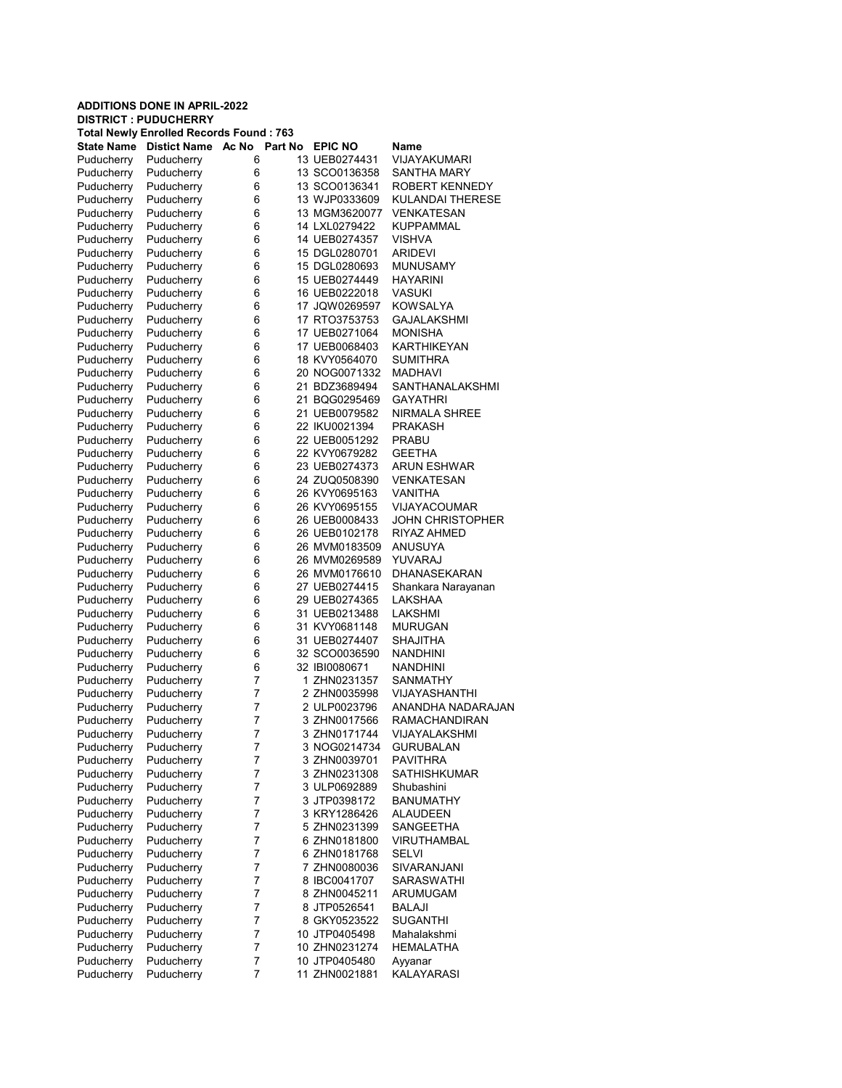## ADDITIONS DONE IN APRIL-2022 DISTRICT : PUDUCHERRY Total Newly Enrolled Records Found : 763 State Name Distict Name Ac No Part No EPIC NO Name<br>Puducherry Puducherry 6 13 UEB0274431 VIJAYAKUMARI Puducherry Puducherry 6 13 UEB0274431 Puducherry Puducherry 6 13 SCO0136358 SANTHA MARY Puducherry Puducherry 6 13 SCO0136341 ROBERT KENNEDY Puducherry Puducherry 6 13 WJP0333609 KULANDAI THERESE Puducherry Puducherry 6 13 MGM3620077 VENKATESAN Puducherry Puducherry 6 14 LXL0279422 KUPPAMMAL Puducherry Puducherry 6 14 UEB0274357 VISHVA Puducherry Puducherry 6 15 DGL0280701 ARIDEVI<br>Puducherry Puducherry 6 15 DGL0280693 MUNUSAMY Puducherry Puducherry 6 15 DGL0280693<br>
Puducherry Puducherry 6 15 UEB0274449 6 15 UEB0274449 HAYARINI Puducherry Puducherry 6 16 UEB0222018 VASUKI<br>Puducherry Puducherry 6 17 JQW0269597 KOWSA Puducherry Puducherry 6 17 JQW0269597 KOWSALYA Puducherry Puducherry 6 17 RTO3753753 GAJALAKSHMI Puducherry Puducherry 6 17 UEB0271064 MONISHA<br>Puducherry Puducherry 6 17 UEB0068403 KARTHIKEYAN Puducherry Puducherry 6 17 UEB0068403 Puducherry Puducherry 6 18 KVY0564070 SUMITHRA Puducherry Puducherry 6 20 NOG0071332 MADHAVI Puducherry Puducherry 6 21 BDZ3689494 SANTHANALAKSHMI<br>Puducherry Puducherry 6 21 BQG0295469 GAYATHRI 21 BQG0295469 Puducherry Puducherry 6 21 UEB0079582 NIRMALA SHREE Puducherry Puducherry 6 22 IKU0021394 PRAKASH Puducherry Puducherry 6 22 UEB0051292 PRABU Puducherry Puducherry 6 22 KVY0679282 GEETHA Puducherry Puducherry 6 23 UEB0274373 ARUN ESHWAR Puducherry Puducherry 6 24 ZUQ0508390 VENKATESAN Puducherry Puducherry 6 26 KVY0695163 VANITHA Puducherry Puducherry 6 26 KVY0695155 VIJAYACOUMAR Puducherry Puducherry 6 26 UEB0008433 JOHN CHRISTOPHER Puducherry Puducherry 6 26 UEB0102178 RIYAZ AHMED Puducherry Puducherry 6 26 MVM0183509 ANUSUYA Puducherry Puducherry 6 26 MVM0269589 YUVARAJ Puducherry 6 26 MVM0176610 DHANASEKARAN Puducherry Puducherry 6 27 UEB0274415 Shankara Narayanan Puducherry Puducherry 6 29 UEB0274365 LAKSHAA Puducherry Puducherry 6 31 UEB0213488 Puducherry Puducherry 6 31 KVY0681148 MURUGAN Puducherry Puducherry 6 31 UEB0274407 SHAJITHA Puducherry Puducherry 6 32 SCO0036590 NANDHINI Puducherry Puducherry 6 32 IBI0080671 NANDHINI Puducherry Puducherry 7 1 ZHN0231357<br>Puducherry Puducherry 7 2 ZHN0035998 VIJAYASHANTHI Puducherry Puducherry 7 2 ULP0023796 ANANDHA NADARAJAN<br>Puducherry Puducherry 7 3 ZHN0017566 RAMACHANDIRAN Puducherry Puducherry 7 3 ZHN0017566 RAMACHANDIRAN<br>Puducherry Puducherry 7 3 ZHN0171744 VIJAYALAKSHMI VIJAYALAKSHMI Puducherry Puducherry 7 3 NOG0214734 GURUBALAN Puducherry Puducherry 7 3 ZHN0039701 PAVITHRA Puducherry Puducherry 7 3 ZHN0231308 SATHISHKUMAR Puducherry Puducherry 7 3 ULP0692889 Shubashini Puducherry Puducherry 7 3 JTP0398172 BANUMATHY Puducherry Puducherry 7 3 KRY1286426 ALAUDEEN Puducherry Puducherry 7 5 ZHN0231399 SANGEETHA Puducherry Puducherry 7 6 ZHN0181800 VIRUTHAMBAL Puducherry Puducherry 7 6 ZHN0181768 SELVI Puducherry Puducherry 7 7 7 ZHN0080036 SIVARANJANI Puducherry Puducherry 7 8 IBC0041707 SARASWATHI Puducherry Puducherry 7 8 ZHN0045211 ARUMUGAM<br>Puducherry Puducherry 7 8 JTP0526541 BALAJI Puducherry Puducherry 7 8 JTP0526541 BALAJI<br>Puducherry Puducherry 7 8 GKY0523522 SUGAN Puducherry Puducherry 7 8 GKY0523522 SUGANTHI Puducherry Puducherry 7 10 JTP0405498 Mahalakshmi Puducherry Puducherry 7 10 ZHN0231274 HEMALATHA Puducherry Puducherry 7 10 JTP0405480 Ayyanar<br>Puducherry Puducherry 7 11 ZHN0021881 KALAYARASI Puducherry Puducherry 7 11 ZHN0021881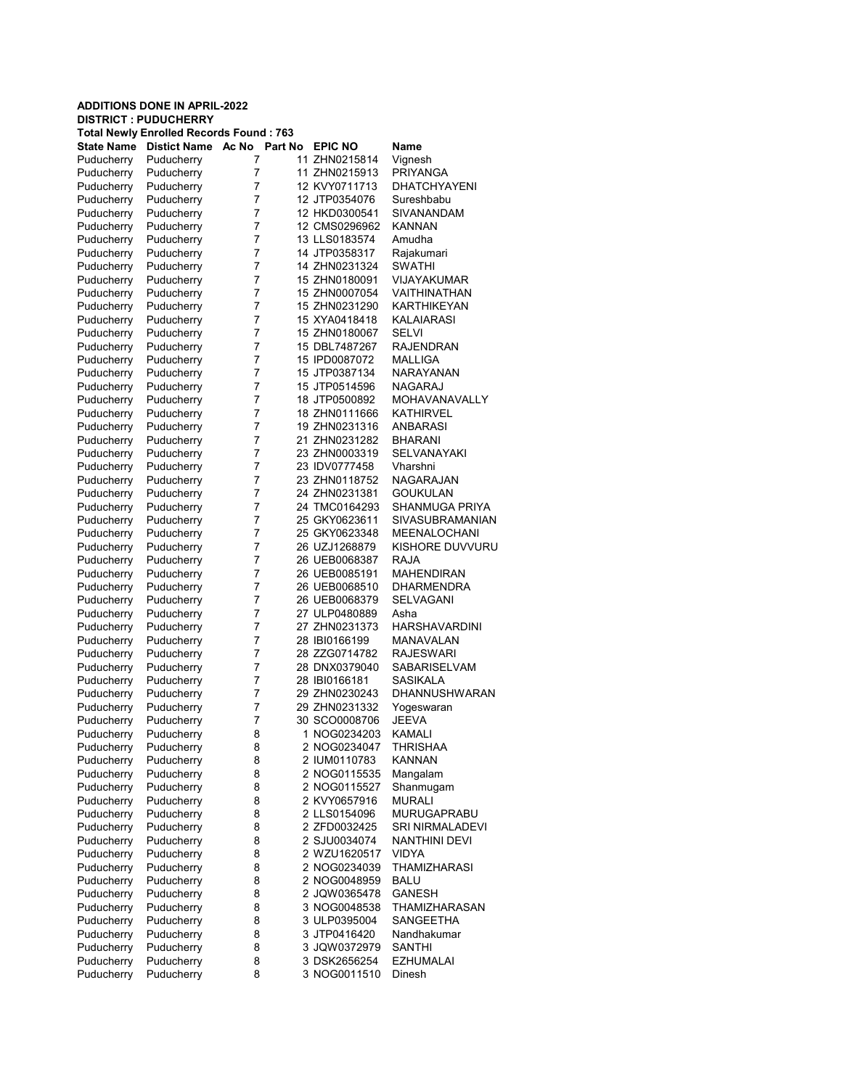## ADDITIONS DONE IN APRIL-2022 DISTRICT : PUDUCHERRY Total Newly Enrolled Records Found : 763 State Name Distict Name Ac No Part No EPIC NO Name Puducherry Puducherry 7 11 ZHN0215814 Vignesh Puducherry Puducherry 7 11 ZHN0215913 PRIYANGA Puducherry Puducherry 7 12 KVY0711713 DHATCHYAYENI Puducherry Puducherry 7 12 JTP0354076 Sureshbabu Puducherry Puducherry 7 12 HKD0300541 SIVANANDAM<br>Puducherry Puducherry 7 12 CMS0296962 KANNAN Puducherry Puducherry 7 12 CMS0296962<br>
Puducherry Puducherry 7 13 LLS0183574 Puducherry Puducherry 7 13 LLS0183574 Amudha<br>Puducherry Puducherry 7 14 JTP0358317 Raiakum Puducherry Puducherry 7 14 JTP0358317 Rajakumari<br>Puducherry Puducherry 7 14 ZHN0231324 SWATHI Puducherry Puducherry 7 14 ZHN0231324 SWATHI<br>Puducherry Puducherry 7 15 ZHN0180091 VIJAYAKUMAR Publis 2HN0180091<br>Puddicherry 15 ZHN0007054 Puducherry Puducherry 7 15 ZHN0007054 VAITHINATHAN<br>Puducherry Puducherry 7 15 ZHN0231290 KARTHIKEYAN Puducherry 7 15 ZHN0231290 KARTHIKEYAN<br>Puducherry 7 15 XYA0418418 KALAIARASI Puducherry Puducherry 7 15 XYA0418418 KALAIARASI Puducherry Puducherry 7 15 ZHN0180067 SELVI<br>Puducherry Puducherry 7 15 DBL7487267 RAJENDRAN Puducherry Puducherry 7 15 DBL7487267 Puducherry Puducherry 7 15 IPD0087072 MALLIGA Puducherry Puducherry 7 15 JTP0387134 NARAYANAN Puducherry Puducherry 7 15 JTP0514596 NAGARAJ<br>Puducherry Puducherry 7 18 JTP0500892 MOHAVAN MOHAVANAVALLY Puducherry Puducherry 7 18 ZHN0111666 KATHIRVEL Puducherry Puducherry 7 19 ZHN0231316 ANBARASI Puducherry Puducherry 7 21 ZHN0231282 BHARANI Puducherry Puducherry 7 23 ZHN0003319 SELVANAYAKI Puducherry Puducherry 7 23 IDV0777458 Vharshni Puducherry 7 23 ZHN0118752 NAGARAJAN Puducherry Puducherry 7 24 ZHN0231381 GOUKULAN Puducherry Puducherry 7 24 TMC0164293 SHANMUGA PRIYA Puducherry Puducherry 7 25 GKY0623611 SIVASUBRAMANIAN Puducherry Puducherry 7 25 GKY0623348 MEENALOCHANI Puducherry Puducherry 7 26 UZJ1268879 KISHORE DUVVURU<br>Puducherry Puducherry 7 26 UEB0068387 RAJA Puducherry Puducherry 7 26 UEB0068387 RAJA<br>Puducherry Puducherry 7 26 UEB0085191 MAHENDIRAN Puducherry 7 26 UEB0085191 Puducherry Puducherry 7 26 UEB0068510 DHARMENDRA<br>Puducherry Puducherry 7 26 UEB0068379 SELVAGANI Puducherry Puducherry 7 26 UEB0068379<br>Puducherry Puducherry 7 27 ULP0480889 Puducherry Puducherry 7 27 ULP0480889 Asha<br>Puducherry Puducherry 7 27 ZHN0231373 HAR Puducherry Puducherry 7 27 ZHN0231373 HARSHAVARDINI<br>Puducherry Puducherry 7 28 IBI0166199 MANAVALAN Puducherry 7 28 IBI0166199 MANAVALAN<br>Puducherry 7 28 ZZG0714782 RAJESWARI Puducherry Puducherry 7 28 ZZG0714782 Puducherry Puducherry 7 28 DNX0379040 SABARISELVAM<br>Puducherry Puducherry 7 28 IBI0166181 SASIKALA Puducherry Puducherry 7 28 IBI0166181 SASIKALA<br>Puducherry Puducherry 7 29 ZHN0230243 DHANNUS DHANNUSHWARAN Puducherry Puducherry 7 29 ZHN0231332 Yogeswaran<br>Puducherry Puducherry 7 30 SCO0008706 JEEVA Puducherry Puducherry 7 30 SCO0008706 JEEVA<br>Puducherry Puducherry 8 1 NOG0234203 KAMALI 1 NOG0234203 Puducherry Puducherry 8 2 NOG0234047 THRISHAA Puducherry Puducherry 8 2 IUM0110783 KANNAN Puducherry Puducherry 8 2 NOG0115535 Mangalam Puducherry Puducherry 8 2 NOG0115527 Shanmugam Puducherry Puducherry 8 2 KVY0657916 MURALI Puducherry Puducherry 8 2 LLS0154096 MURUGAPRABU Puducherry Puducherry 8 2 ZFD0032425 SRI NIRMALADEVI Puducherry Puducherry 8 2 SJU0034074 NANTHINI DEVI Puducherry Puducherry 8 2 WZU1620517 VIDYA Puducherry Puducherry 8 2 NOG0234039 THAMIZHARASI Puducherry Puducherry 8 2 NOG0048959 BALU Puducherry Puducherry 8 2 JQW0365478 GANESH<br>Puducherry Puducherry 8 3 NOG0048538 THAMIZH Puducherry Puducherry 8 3 NOG0048538 THAMIZHARASAN Puducherry Puducherry 8 3 ULP0395004 SANGEETHA Puducherry Puducherry 8 3 JTP0416420 Nandhakumar Puducherry Puducherry 8 3 JQW0372979 SANTHI Puducherry Puducherry 8 3 DSK2656254 EZHUMALAI Puducherry Puducherry 8 3 NOG0011510 Dinesh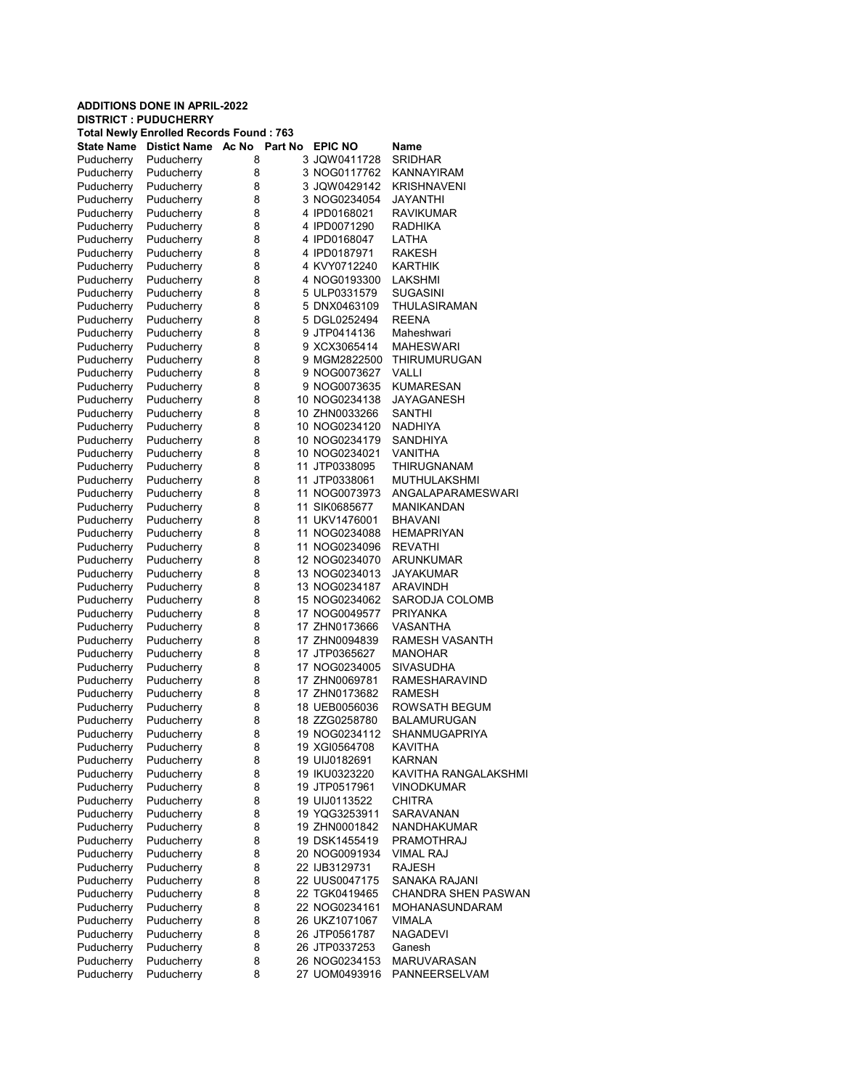| <b>ADDITIONS DONE IN APRIL-2022</b> |                                                                               |                  |  |                                |                                  |  |  |
|-------------------------------------|-------------------------------------------------------------------------------|------------------|--|--------------------------------|----------------------------------|--|--|
|                                     | <b>DISTRICT: PUDUCHERRY</b><br><b>Total Newly Enrolled Records Found: 763</b> |                  |  |                                |                                  |  |  |
| State Name                          | <b>Distict Name</b>                                                           | Ac No<br>Part No |  | <b>EPIC NO</b>                 | Name                             |  |  |
| Puducherry                          | Puducherry                                                                    | 8                |  | 3 JQW0411728                   | <b>SRIDHAR</b>                   |  |  |
| Puducherry                          | Puducherry                                                                    | 8                |  | 3 NOG0117762                   | KANNAYIRAM                       |  |  |
| Puducherry                          | Puducherry                                                                    | 8                |  | 3 JQW0429142                   | <b>KRISHNAVENI</b>               |  |  |
| Puducherry                          | Puducherry                                                                    | 8                |  | 3 NOG0234054                   | JAYANTHI                         |  |  |
| Puducherry                          | Puducherry                                                                    | 8                |  | 4 IPD0168021                   | <b>RAVIKUMAR</b>                 |  |  |
| Puducherry                          | Puducherry                                                                    | 8                |  | 4 IPD0071290                   | RADHIKA                          |  |  |
| Puducherry                          | Puducherry                                                                    | 8                |  | 4 IPD0168047                   | LATHA                            |  |  |
| Puducherry                          | Puducherry                                                                    | 8                |  | 4 IPD0187971                   | RAKESH                           |  |  |
| Puducherry                          | Puducherry                                                                    | 8                |  | 4 KVY0712240                   | KARTHIK                          |  |  |
| Puducherry                          | Puducherry                                                                    | 8                |  | 4 NOG0193300                   | LAKSHMI                          |  |  |
| Puducherry                          | Puducherry                                                                    | 8                |  | 5 ULP0331579                   | <b>SUGASINI</b>                  |  |  |
| Puducherry                          | Puducherry                                                                    | 8                |  | 5 DNX0463109                   | THULASIRAMAN                     |  |  |
| Puducherry                          | Puducherry                                                                    | 8                |  | 5 DGL0252494                   | <b>REENA</b>                     |  |  |
| Puducherry                          | Puducherry                                                                    | 8                |  | 9 JTP0414136                   | Maheshwari                       |  |  |
| Puducherry<br>Puducherry            | Puducherry<br>Puducherry                                                      | 8<br>8           |  | 9 XCX3065414<br>9 MGM2822500   | <b>MAHESWARI</b><br>THIRUMURUGAN |  |  |
| Puducherry                          | Puducherry                                                                    | 8                |  | 9 NOG0073627                   | VALLI                            |  |  |
| Puducherry                          | Puducherry                                                                    | 8                |  | 9 NOG0073635                   | KUMARESAN                        |  |  |
| Puducherry                          | Puducherry                                                                    | 8                |  | 10 NOG0234138                  | JAYAGANESH                       |  |  |
| Puducherry                          | Puducherry                                                                    | 8                |  | 10 ZHN0033266                  | SANTHI                           |  |  |
| Puducherry                          | Puducherry                                                                    | 8                |  | 10 NOG0234120                  | <b>NADHIYA</b>                   |  |  |
| Puducherry                          | Puducherry                                                                    | 8                |  | 10 NOG0234179                  | SANDHIYA                         |  |  |
| Puducherry                          | Puducherry                                                                    | 8                |  | 10 NOG0234021                  | VANITHA                          |  |  |
| Puducherry                          | Puducherry                                                                    | 8                |  | 11 JTP0338095                  | THIRUGNANAM                      |  |  |
| Puducherry                          | Puducherry                                                                    | 8                |  | 11 JTP0338061                  | MUTHULAKSHMI                     |  |  |
| Puducherry                          | Puducherry                                                                    | 8                |  | 11 NOG0073973                  | ANGALAPARAMESWARI                |  |  |
| Puducherry                          | Puducherry                                                                    | 8                |  | 11 SIK0685677                  | MANIKANDAN                       |  |  |
| Puducherry                          | Puducherry                                                                    | 8                |  | 11 UKV1476001                  | <b>BHAVANI</b>                   |  |  |
| Puducherry                          | Puducherry                                                                    | 8                |  | 11 NOG0234088                  | <b>HEMAPRIYAN</b>                |  |  |
| Puducherry                          | Puducherry                                                                    | 8                |  | 11 NOG0234096                  | <b>REVATHI</b>                   |  |  |
| Puducherry                          | Puducherry                                                                    | 8                |  | 12 NOG0234070                  | ARUNKUMAR                        |  |  |
| Puducherry                          | Puducherry                                                                    | 8                |  | 13 NOG0234013                  | JAYAKUMAR                        |  |  |
| Puducherry                          | Puducherry                                                                    | 8                |  | 13 NOG0234187                  | ARAVINDH                         |  |  |
| Puducherry                          | Puducherry                                                                    | 8                |  | 15 NOG0234062                  | SARODJA COLOMB                   |  |  |
| Puducherry                          | Puducherry                                                                    | 8                |  | 17 NOG0049577                  | <b>PRIYANKA</b>                  |  |  |
| Puducherry                          | Puducherry                                                                    | 8                |  | 17 ZHN0173666                  | VASANTHA                         |  |  |
| Puducherry                          | Puducherry                                                                    | 8                |  | 17 ZHN0094839                  | <b>RAMESH VASANTH</b>            |  |  |
| Puducherry<br>Puducherry            | Puducherry<br>Puducherry                                                      | 8<br>8           |  | 17 JTP0365627<br>17 NOG0234005 | <b>MANOHAR</b><br>SIVASUDHA      |  |  |
| Puducherry                          | Puducherry                                                                    | 8                |  | 17 ZHN0069781                  | RAMESHARAVIND                    |  |  |
| Puducherry                          | Puducherry                                                                    | 8                |  | 17 ZHN0173682                  | RAMESH                           |  |  |
| Puducherry                          | Puducherry                                                                    | 8                |  | 18 UEB0056036                  | ROWSATH BEGUM                    |  |  |
| Puducherry                          | Puducherry                                                                    | 8                |  | 18 ZZG0258780                  | <b>BALAMURUGAN</b>               |  |  |
| Puducherry                          | Puducherry                                                                    | 8                |  | 19 NOG0234112                  | <b>SHANMUGAPRIYA</b>             |  |  |
| Puducherry                          | Puducherry                                                                    | 8                |  | 19 XGI0564708                  | <b>KAVITHA</b>                   |  |  |
| Puducherry                          | Puducherry                                                                    | 8                |  | 19 UIJ0182691                  | <b>KARNAN</b>                    |  |  |
| Puducherry                          | Puducherry                                                                    | 8                |  | 19 IKU0323220                  | KAVITHA RANGALAKSHMI             |  |  |
| Puducherry                          | Puducherry                                                                    | 8                |  | 19 JTP0517961                  | <b>VINODKUMAR</b>                |  |  |
| Puducherry                          | Puducherry                                                                    | 8                |  | 19 UIJ0113522                  | <b>CHITRA</b>                    |  |  |
| Puducherry                          | Puducherry                                                                    | 8                |  | 19 YQG3253911                  | <b>SARAVANAN</b>                 |  |  |
| Puducherry                          | Puducherry                                                                    | 8                |  | 19 ZHN0001842                  | NANDHAKUMAR                      |  |  |
| Puducherry                          | Puducherry                                                                    | 8                |  | 19 DSK1455419                  | PRAMOTHRAJ                       |  |  |
| Puducherry                          | Puducherry                                                                    | 8                |  | 20 NOG0091934                  | <b>VIMAL RAJ</b>                 |  |  |
| Puducherry                          | Puducherry                                                                    | 8                |  | 22 IJB3129731                  | <b>RAJESH</b>                    |  |  |
| Puducherry                          | Puducherry                                                                    | 8                |  | 22 UUS0047175                  | <b>SANAKA RAJANI</b>             |  |  |
| Puducherry                          | Puducherry                                                                    | 8                |  | 22 TGK0419465                  | <b>CHANDRA SHEN PASWAN</b>       |  |  |
| Puducherry                          | Puducherry                                                                    | 8                |  | 22 NOG0234161                  | MOHANASUNDARAM                   |  |  |
| Puducherry                          | Puducherry                                                                    | 8                |  | 26 UKZ1071067                  | <b>VIMALA</b>                    |  |  |
| Puducherry                          | Puducherry                                                                    | 8                |  | 26 JTP0561787                  | <b>NAGADEVI</b>                  |  |  |
| Puducherry                          | Puducherry                                                                    | 8                |  | 26 JTP0337253                  | Ganesh                           |  |  |
| Puducherry                          | Puducherry                                                                    | 8                |  | 26 NOG0234153                  | <b>MARUVARASAN</b>               |  |  |
| Puducherry                          | Puducherry                                                                    | 8                |  | 27 UOM0493916                  | PANNEERSELVAM                    |  |  |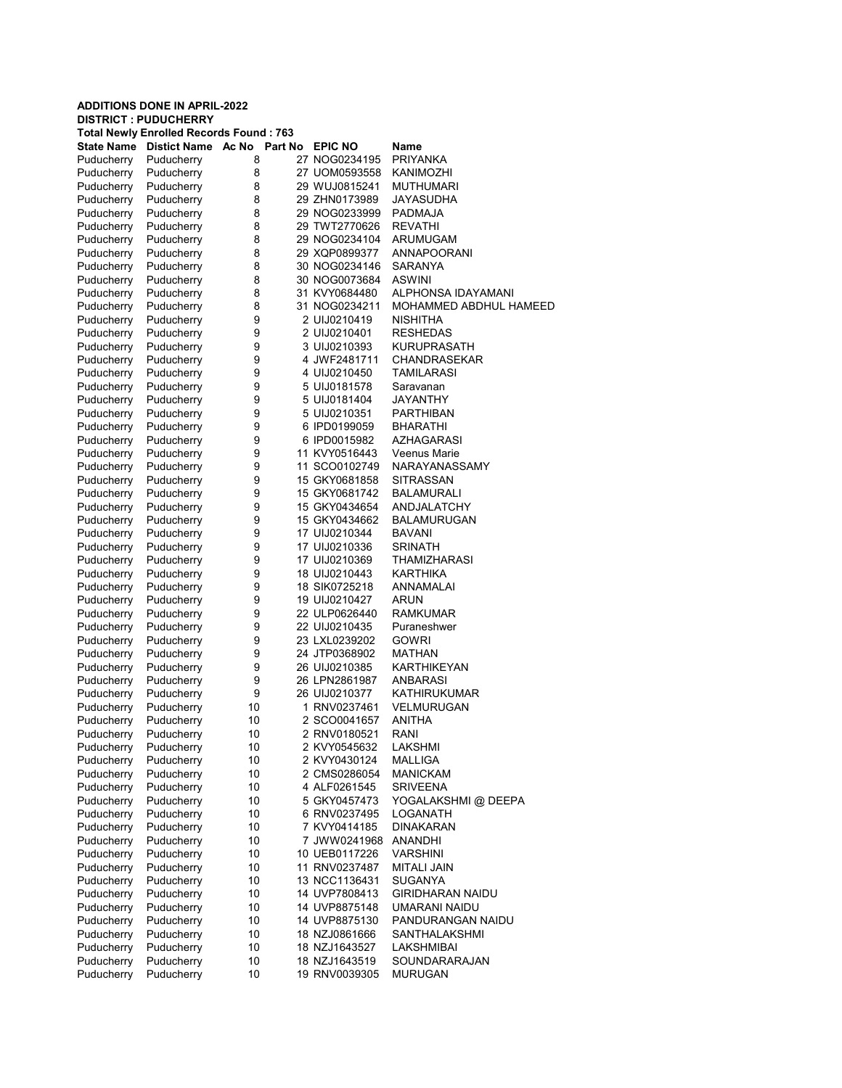|                          | <b>ADDITIONS DONE IN APRIL-2022</b><br><b>DISTRICT: PUDUCHERRY</b> |                                                |  |                                |                             |  |  |  |
|--------------------------|--------------------------------------------------------------------|------------------------------------------------|--|--------------------------------|-----------------------------|--|--|--|
|                          |                                                                    | <b>Total Newly Enrolled Records Found: 763</b> |  |                                |                             |  |  |  |
| <b>State Name</b>        | Distict Name Ac No                                                 | Part No                                        |  | <b>EPIC NO</b>                 | Name                        |  |  |  |
| Puducherry               | Puducherry                                                         | 8                                              |  | 27 NOG0234195                  | PRIYANKA                    |  |  |  |
| Puducherry               | Puducherry                                                         | 8                                              |  | 27 UOM0593558                  | KANIMOZHI                   |  |  |  |
| Puducherry               | Puducherry                                                         | 8                                              |  | 29 WUJ0815241                  | <b>MUTHUMARI</b>            |  |  |  |
| Puducherry               | Puducherry                                                         | 8                                              |  | 29 ZHN0173989                  | JAYASUDHA                   |  |  |  |
| Puducherry               | Puducherry                                                         | 8                                              |  | 29 NOG0233999                  | PADMAJA                     |  |  |  |
| Puducherry               | Puducherry                                                         | 8                                              |  | 29 TWT2770626                  | <b>REVATHI</b>              |  |  |  |
| Puducherry               | Puducherry                                                         | 8                                              |  | 29 NOG0234104                  | ARUMUGAM                    |  |  |  |
| Puducherry               | Puducherry                                                         | 8                                              |  | 29 XQP0899377                  | <b>ANNAPOORANI</b>          |  |  |  |
| Puducherry               | Puducherry                                                         | 8                                              |  | 30 NOG0234146                  | SARANYA                     |  |  |  |
| Puducherry               | Puducherry                                                         | 8                                              |  | 30 NOG0073684                  | <b>ASWINI</b>               |  |  |  |
| Puducherry               | Puducherry                                                         | 8                                              |  | 31 KVY0684480                  | ALPHONSA IDAYAMANI          |  |  |  |
| Puducherry               | Puducherry                                                         | 8                                              |  | 31 NOG0234211                  | MOHAMMED ABDHUL HAMEED      |  |  |  |
| Puducherry               | Puducherry                                                         | 9                                              |  | 2 UIJ0210419                   | NISHITHA                    |  |  |  |
| Puducherry               | Puducherry                                                         | 9<br>9                                         |  | 2 UIJ0210401                   | <b>RESHEDAS</b>             |  |  |  |
| Puducherry               | Puducherry                                                         | 9                                              |  | 3 UIJ0210393<br>4 JWF2481711   | KURUPRASATH<br>CHANDRASEKAR |  |  |  |
| Puducherry<br>Puducherry | Puducherry<br>Puducherry                                           | 9                                              |  | 4 UIJ0210450                   | TAMILARASI                  |  |  |  |
| Puducherry               | Puducherry                                                         | 9                                              |  | 5 UIJ0181578                   | Saravanan                   |  |  |  |
| Puducherry               | Puducherry                                                         | 9                                              |  | 5 UIJ0181404                   | <b>JAYANTHY</b>             |  |  |  |
| Puducherry               | Puducherry                                                         | 9                                              |  | 5 UIJ0210351                   | PARTHIBAN                   |  |  |  |
| Puducherry               | Puducherry                                                         | 9                                              |  | 6 IPD0199059                   | <b>BHARATHI</b>             |  |  |  |
| Puducherry               | Puducherry                                                         | 9                                              |  | 6 IPD0015982                   | <b>AZHAGARASI</b>           |  |  |  |
| Puducherry               | Puducherry                                                         | 9                                              |  | 11 KVY0516443                  | Veenus Marie                |  |  |  |
| Puducherry               | Puducherry                                                         | 9                                              |  | 11 SCO0102749                  | NARAYANASSAMY               |  |  |  |
| Puducherry               | Puducherry                                                         | 9                                              |  | 15 GKY0681858                  | SITRASSAN                   |  |  |  |
| Puducherry               | Puducherry                                                         | 9                                              |  | 15 GKY0681742                  | <b>BALAMURALI</b>           |  |  |  |
| Puducherry               | Puducherry                                                         | 9                                              |  | 15 GKY0434654                  | ANDJALATCHY                 |  |  |  |
| Puducherry               | Puducherry                                                         | 9                                              |  | 15 GKY0434662                  | <b>BALAMURUGAN</b>          |  |  |  |
| Puducherry               | Puducherry                                                         | 9                                              |  | 17 UIJ0210344                  | <b>BAVANI</b>               |  |  |  |
| Puducherry               | Puducherry                                                         | 9                                              |  | 17 UIJ0210336                  | <b>SRINATH</b>              |  |  |  |
| Puducherry               | Puducherry                                                         | 9                                              |  | 17 UIJ0210369                  | THAMIZHARASI                |  |  |  |
| Puducherry               | Puducherry                                                         | 9                                              |  | 18 UIJ0210443                  | KARTHIKA                    |  |  |  |
| Puducherry               | Puducherry                                                         | 9                                              |  | 18 SIK0725218                  | ANNAMALAI                   |  |  |  |
| Puducherry               | Puducherry                                                         | 9                                              |  | 19 UIJ0210427                  | ARUN                        |  |  |  |
| Puducherry               | Puducherry                                                         | 9                                              |  | 22 ULP0626440                  | <b>RAMKUMAR</b>             |  |  |  |
| Puducherry               | Puducherry                                                         | 9                                              |  | 22 UIJ0210435                  | Puraneshwer                 |  |  |  |
| Puducherry               | Puducherry<br>Puducherry                                           | 9<br>9                                         |  | 23 LXL0239202<br>24 JTP0368902 | <b>GOWRI</b><br>MATHAN      |  |  |  |
| Puducherry<br>Puducherry | Puducherry                                                         | 9                                              |  | 26 UIJ0210385                  | <b>KARTHIKEYAN</b>          |  |  |  |
| Puducherry               | Puducherry                                                         | 9                                              |  | 26 LPN2861987                  | ANBARASI                    |  |  |  |
| Puducherry               | Puducherry                                                         | 9                                              |  | 26 UIJ0210377                  | KATHIRUKUMAR                |  |  |  |
| Puducherry               | Puducherry                                                         | 10                                             |  | 1 RNV0237461                   | <b>VELMURUGAN</b>           |  |  |  |
| Puducherry               | Puducherry                                                         | 10                                             |  | 2 SCO0041657                   | ANITHA                      |  |  |  |
| Puducherry               | Puducherry                                                         | 10                                             |  | 2 RNV0180521                   | RANI                        |  |  |  |
| Puducherry               | Puducherry                                                         | 10                                             |  | 2 KVY0545632                   | LAKSHMI                     |  |  |  |
| Puducherry               | Puducherry                                                         | 10                                             |  | 2 KVY0430124                   | MALLIGA                     |  |  |  |
| Puducherry               | Puducherry                                                         | 10                                             |  | 2 CMS0286054                   | <b>MANICKAM</b>             |  |  |  |
| Puducherry               | Puducherry                                                         | 10                                             |  | 4 ALF0261545                   | <b>SRIVEENA</b>             |  |  |  |
| Puducherry               | Puducherry                                                         | 10                                             |  | 5 GKY0457473                   | YOGALAKSHMI @ DEEPA         |  |  |  |
| Puducherry               | Puducherry                                                         | 10                                             |  | 6 RNV0237495                   | LOGANATH                    |  |  |  |
| Puducherry               | Puducherry                                                         | 10                                             |  | 7 KVY0414185                   | <b>DINAKARAN</b>            |  |  |  |
| Puducherry               | Puducherry                                                         | 10                                             |  | 7 JWW0241968                   | ANANDHI                     |  |  |  |
| Puducherry               | Puducherry                                                         | 10                                             |  | 10 UEB0117226                  | <b>VARSHINI</b>             |  |  |  |
| Puducherry               | Puducherry                                                         | 10                                             |  | 11 RNV0237487                  | <b>MITALI JAIN</b>          |  |  |  |
| Puducherry               | Puducherry                                                         | 10                                             |  | 13 NCC1136431                  | SUGANYA                     |  |  |  |
| Puducherry               | Puducherry                                                         | 10                                             |  | 14 UVP7808413                  | <b>GIRIDHARAN NAIDU</b>     |  |  |  |
| Puducherry               | Puducherry                                                         | 10                                             |  | 14 UVP8875148                  | UMARANI NAIDU               |  |  |  |
| Puducherry               | Puducherry                                                         | 10                                             |  | 14 UVP8875130                  | PANDURANGAN NAIDU           |  |  |  |
| Puducherry<br>Puducherry | Puducherry<br>Puducherry                                           | 10<br>10                                       |  | 18 NZJ0861666<br>18 NZJ1643527 | SANTHALAKSHMI<br>LAKSHMIBAI |  |  |  |
| Puducherry               | Puducherry                                                         | 10                                             |  | 18 NZJ1643519                  | SOUNDARARAJAN               |  |  |  |
| Puducherry               | Puducherry                                                         | 10                                             |  | 19 RNV0039305                  | <b>MURUGAN</b>              |  |  |  |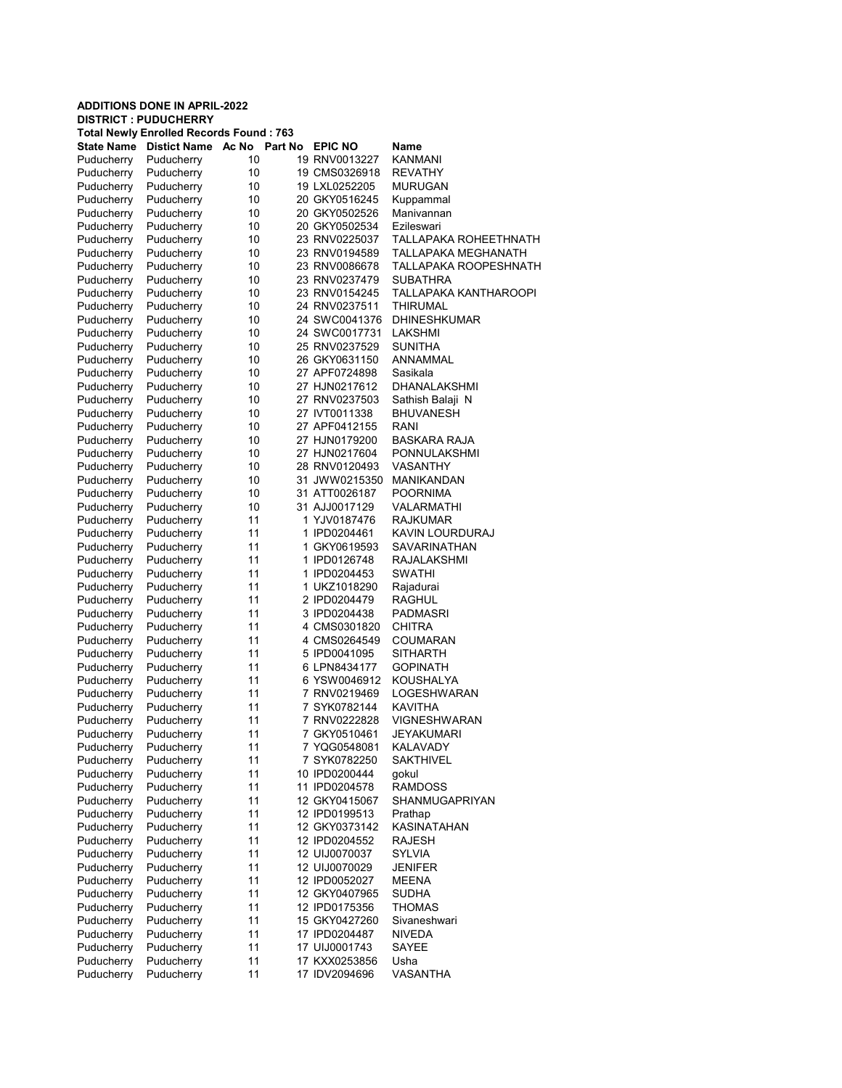|                          | <b>ADDITIONS DONE IN APRIL-2022</b> |                                                |  |                                |                                          |  |  |  |
|--------------------------|-------------------------------------|------------------------------------------------|--|--------------------------------|------------------------------------------|--|--|--|
|                          | <b>DISTRICT : PUDUCHERRY</b>        | <b>Total Newly Enrolled Records Found: 763</b> |  |                                |                                          |  |  |  |
| State Name               | <b>Distict Name</b>                 | Ac No<br>Part No                               |  | <b>EPIC NO</b>                 | Name                                     |  |  |  |
| Puducherry               | Puducherry                          | 10                                             |  | 19 RNV0013227                  | <b>KANMANI</b>                           |  |  |  |
| Puducherry               | Puducherry                          | 10                                             |  | 19 CMS0326918                  | <b>REVATHY</b>                           |  |  |  |
| Puducherry               | Puducherry                          | 10                                             |  | 19 LXL0252205                  | <b>MURUGAN</b>                           |  |  |  |
| Puducherry               | Puducherry                          | 10                                             |  | 20 GKY0516245                  | Kuppammal                                |  |  |  |
| Puducherry               | Puducherry                          | 10                                             |  | 20 GKY0502526                  | Manivannan                               |  |  |  |
| Puducherry               | Puducherry                          | 10                                             |  | 20 GKY0502534                  | Ezileswari                               |  |  |  |
| Puducherry               | Puducherry                          | 10                                             |  | 23 RNV0225037                  | TALLAPAKA ROHEETHNATH                    |  |  |  |
| Puducherry               | Puducherry                          | 10                                             |  | 23 RNV0194589                  | <b>TALLAPAKA MEGHANATH</b>               |  |  |  |
| Puducherry               | Puducherry                          | 10                                             |  | 23 RNV0086678                  | TALLAPAKA ROOPESHNATH                    |  |  |  |
| Puducherry               | Puducherry<br>Puducherry            | 10                                             |  | 23 RNV0237479                  | <b>SUBATHRA</b><br>TALLAPAKA KANTHAROOPI |  |  |  |
| Puducherry<br>Puducherry | Puducherry                          | 10<br>10                                       |  | 23 RNV0154245<br>24 RNV0237511 | <b>THIRUMAL</b>                          |  |  |  |
| Puducherry               | Puducherry                          | 10                                             |  | 24 SWC0041376                  | <b>DHINESHKUMAR</b>                      |  |  |  |
| Puducherry               | Puducherry                          | 10                                             |  | 24 SWC0017731                  | LAKSHMI                                  |  |  |  |
| Puducherry               | Puducherry                          | 10                                             |  | 25 RNV0237529                  | SUNITHA                                  |  |  |  |
| Puducherry               | Puducherry                          | 10                                             |  | 26 GKY0631150                  | ANNAMMAL                                 |  |  |  |
| Puducherry               | Puducherry                          | 10                                             |  | 27 APF0724898                  | Sasikala                                 |  |  |  |
| Puducherry               | Puducherry                          | 10                                             |  | 27 HJN0217612                  | <b>DHANALAKSHMI</b>                      |  |  |  |
| Puducherry               | Puducherry                          | 10                                             |  | 27 RNV0237503                  | Sathish Balaji N                         |  |  |  |
| Puducherry               | Puducherry                          | 10                                             |  | 27 IVT0011338                  | <b>BHUVANESH</b>                         |  |  |  |
| Puducherry               | Puducherry                          | 10                                             |  | 27 APF0412155                  | RANI                                     |  |  |  |
| Puducherry               | Puducherry                          | 10                                             |  | 27 HJN0179200                  | BASKARA RAJA                             |  |  |  |
| Puducherry               | Puducherry                          | 10                                             |  | 27 HJN0217604                  | PONNULAKSHMI                             |  |  |  |
| Puducherry               | Puducherry                          | 10                                             |  | 28 RNV0120493                  | <b>VASANTHY</b>                          |  |  |  |
| Puducherry               | Puducherry                          | 10                                             |  | 31 JWW0215350                  | <b>MANIKANDAN</b>                        |  |  |  |
| Puducherry<br>Puducherry | Puducherry<br>Puducherry            | 10<br>10                                       |  | 31 ATT0026187<br>31 AJJ0017129 | <b>POORNIMA</b><br>VALARMATHI            |  |  |  |
| Puducherry               | Puducherry                          | 11                                             |  | 1 YJV0187476                   | <b>RAJKUMAR</b>                          |  |  |  |
| Puducherry               | Puducherry                          | 11                                             |  | 1 IPD0204461                   | KAVIN LOURDURAJ                          |  |  |  |
| Puducherry               | Puducherry                          | 11                                             |  | 1 GKY0619593                   | SAVARINATHAN                             |  |  |  |
| Puducherry               | Puducherry                          | 11                                             |  | 1 IPD0126748                   | <b>RAJALAKSHMI</b>                       |  |  |  |
| Puducherry               | Puducherry                          | 11                                             |  | 1 IPD0204453                   | <b>SWATHI</b>                            |  |  |  |
| Puducherry               | Puducherry                          | 11                                             |  | 1 UKZ1018290                   | Rajadurai                                |  |  |  |
| Puducherry               | Puducherry                          | 11                                             |  | 2 IPD0204479                   | <b>RAGHUL</b>                            |  |  |  |
| Puducherry               | Puducherry                          | 11                                             |  | 3 IPD0204438                   | <b>PADMASRI</b>                          |  |  |  |
| Puducherry               | Puducherry                          | 11                                             |  | 4 CMS0301820                   | <b>CHITRA</b>                            |  |  |  |
| Puducherry               | Puducherry                          | 11                                             |  | 4 CMS0264549                   | <b>COUMARAN</b>                          |  |  |  |
| Puducherry               | Puducherry                          | 11                                             |  | 5 IPD0041095                   | SITHARTH                                 |  |  |  |
| Puducherry               | Puducherry                          | 11<br>11                                       |  | 6 LPN8434177                   | <b>GOPINATH</b>                          |  |  |  |
| Puducherry<br>Puducherry | Puducherry<br>Puducherry            | 11                                             |  | 6 YSW0046912<br>7 RNV0219469   | KOUSHALYA<br>LOGESHWARAN                 |  |  |  |
| Puducherry               | Puducherry                          | 11                                             |  | 7 SYK0782144                   | KAVITHA                                  |  |  |  |
| Puducherry               | Puducherry                          | 11                                             |  | 7 RNV0222828                   | <b>VIGNESHWARAN</b>                      |  |  |  |
| Puducherry               | Puducherry                          | 11                                             |  | 7 GKY0510461                   | JEYAKUMARI                               |  |  |  |
| Puducherry               | Puducherry                          | 11                                             |  | 7 YQG0548081                   | <b>KALAVADY</b>                          |  |  |  |
| Puducherry               | Puducherry                          | 11                                             |  | 7 SYK0782250                   | <b>SAKTHIVEL</b>                         |  |  |  |
| Puducherry               | Puducherry                          | 11                                             |  | 10 IPD0200444                  | qokul                                    |  |  |  |
| Puducherry               | Puducherry                          | 11                                             |  | 11 IPD0204578                  | <b>RAMDOSS</b>                           |  |  |  |
| Puducherry               | Puducherry                          | 11                                             |  | 12 GKY0415067                  | SHANMUGAPRIYAN                           |  |  |  |
| Puducherry               | Puducherry                          | 11                                             |  | 12 IPD0199513                  | Prathap                                  |  |  |  |
| Puducherry               | Puducherry                          | 11                                             |  | 12 GKY0373142                  | KASINATAHAN                              |  |  |  |
| Puducherry               | Puducherry                          | 11                                             |  | 12 IPD0204552                  | <b>RAJESH</b>                            |  |  |  |
| Puducherry               | Puducherry                          | 11                                             |  | 12 UIJ0070037                  | <b>SYLVIA</b>                            |  |  |  |
| Puducherry               | Puducherry                          | 11                                             |  | 12 UIJ0070029                  | <b>JENIFER</b>                           |  |  |  |
| Puducherry<br>Puducherry | Puducherry<br>Puducherry            | 11<br>11                                       |  | 12 IPD0052027<br>12 GKY0407965 | <b>MEENA</b><br><b>SUDHA</b>             |  |  |  |
| Puducherry               | Puducherry                          | 11                                             |  | 12 IPD0175356                  | <b>THOMAS</b>                            |  |  |  |
| Puducherry               | Puducherry                          | 11                                             |  | 15 GKY0427260                  | Sivaneshwari                             |  |  |  |
| Puducherry               | Puducherry                          | 11                                             |  | 17 IPD0204487                  | <b>NIVEDA</b>                            |  |  |  |
| Puducherry               | Puducherry                          | 11                                             |  | 17 UIJ0001743                  | SAYEE                                    |  |  |  |
| Puducherry               | Puducherry                          | 11                                             |  | 17 KXX0253856                  | Usha                                     |  |  |  |
| Puducherry               | Puducherry                          | 11                                             |  | 17 IDV2094696                  | VASANTHA                                 |  |  |  |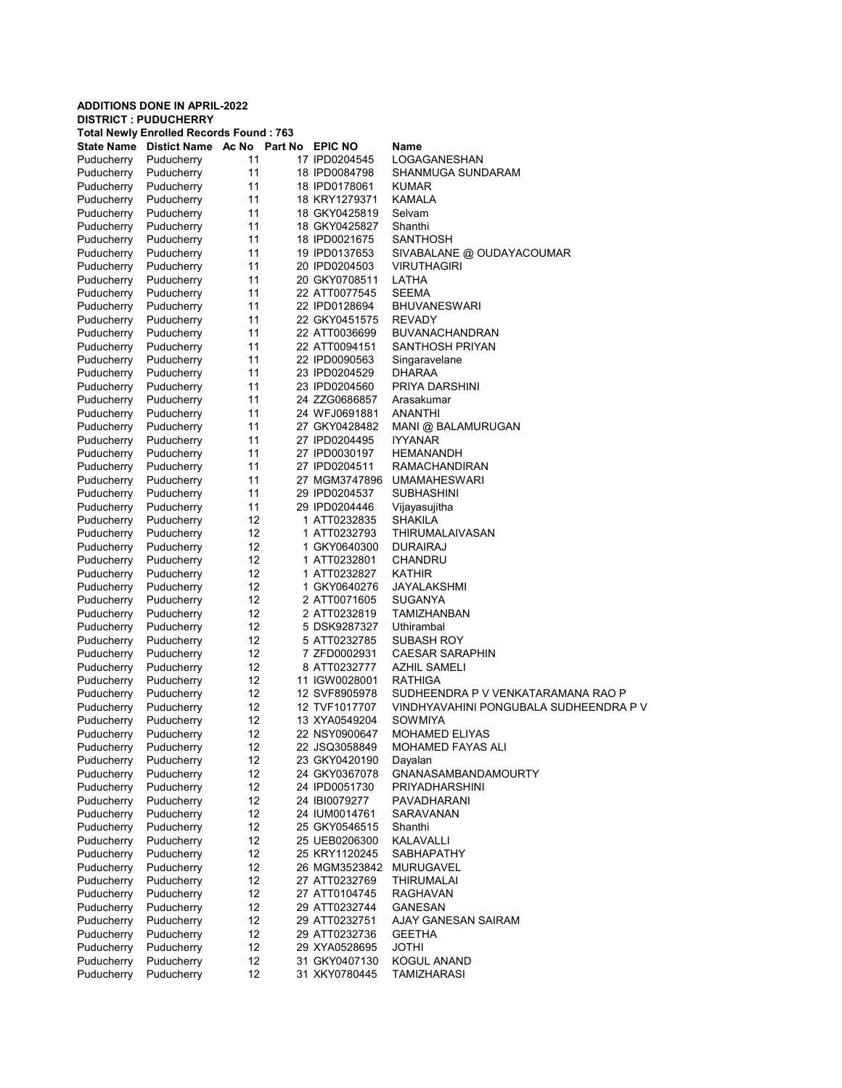|                          | <b>ADDITIONS DONE IN APRIL-2022</b> |                                                |                                |                                          |
|--------------------------|-------------------------------------|------------------------------------------------|--------------------------------|------------------------------------------|
|                          | <b>DISTRICT: PUDUCHERRY</b>         | <b>Total Newly Enrolled Records Found: 763</b> |                                |                                          |
|                          |                                     | State Name Distict Name Ac No Part No EPIC NO  |                                | Name                                     |
| Puducherry               | Puducherry                          | 11                                             | 17 IPD0204545                  | LOGAGANESHAN                             |
| Puducherry               | Puducherry                          | 11                                             | 18 IPD0084798                  | SHANMUGA SUNDARAM                        |
| Puducherry               | Puducherry                          | 11                                             | 18 IPD0178061                  | <b>KUMAR</b>                             |
| Puducherry               | Puducherry                          | 11                                             | 18 KRY1279371                  | KAMALA                                   |
| Puducherry               | Puducherry                          | 11                                             | 18 GKY0425819                  | Selvam                                   |
| Puducherry               | Puducherry                          | 11                                             | 18 GKY0425827                  | Shanthi                                  |
| Puducherry               | Puducherry                          | 11                                             | 18 IPD0021675                  | <b>SANTHOSH</b>                          |
| Puducherry               | Puducherry                          | 11                                             | 19 IPD0137653                  | SIVABALANE @ OUDAYACOUMAR                |
| Puducherry               | Puducherry                          | 11                                             | 20 IPD0204503                  | <b>VIRUTHAGIRI</b>                       |
| Puducherry               | Puducherry                          | 11                                             | 20 GKY0708511                  | LATHA                                    |
| Puducherry               | Puducherry                          | 11                                             | 22 ATT0077545                  | <b>SEEMA</b>                             |
| Puducherry               | Puducherry                          | 11                                             | 22 IPD0128694                  | <b>BHUVANESWARI</b>                      |
| Puducherry               | Puducherry                          | 11<br>11                                       | 22 GKY0451575<br>22 ATT0036699 | <b>REVADY</b>                            |
| Puducherry<br>Puducherry | Puducherry<br>Puducherry            | 11                                             | 22 ATT0094151                  | <b>BUVANACHANDRAN</b><br>SANTHOSH PRIYAN |
| Puducherry               | Puducherry                          | 11                                             | 22 IPD0090563                  | Singaravelane                            |
| Puducherry               | Puducherry                          | 11                                             | 23 IPD0204529                  | <b>DHARAA</b>                            |
| Puducherry               | Puducherry                          | 11                                             | 23 IPD0204560                  | PRIYA DARSHINI                           |
| Puducherry               | Puducherry                          | 11                                             | 24 ZZG0686857                  | Arasakumar                               |
| Puducherry               | Puducherry                          | 11                                             | 24 WFJ0691881                  | ANANTHI                                  |
| Puducherry               | Puducherry                          | 11                                             | 27 GKY0428482                  | MANI @ BALAMURUGAN                       |
| Puducherry               | Puducherry                          | 11                                             | 27 IPD0204495                  | <b>IYYANAR</b>                           |
| Puducherry               | Puducherry                          | 11                                             | 27 IPD0030197                  | HEMANANDH                                |
| Puducherry               | Puducherry                          | 11                                             | 27 IPD0204511                  | <b>RAMACHANDIRAN</b>                     |
| Puducherry               | Puducherry                          | 11                                             | 27 MGM3747896                  | <b>UMAMAHESWARI</b>                      |
| Puducherry               | Puducherry                          | 11                                             | 29 IPD0204537                  | <b>SUBHASHINI</b>                        |
| Puducherry               | Puducherry                          | 11                                             | 29 IPD0204446                  | Vijayasujitha                            |
| Puducherry               | Puducherry                          | 12                                             | 1 ATT0232835                   | SHAKILA                                  |
| Puducherry               | Puducherry                          | 12                                             | 1 ATT0232793                   | THIRUMALAIVASAN                          |
| Puducherry               | Puducherry                          | 12                                             | 1 GKY0640300                   | <b>DURAIRAJ</b>                          |
| Puducherry               | Puducherry                          | 12                                             | 1 ATT0232801                   | CHANDRU                                  |
| Puducherry               | Puducherry                          | 12                                             | 1 ATT0232827                   | KATHIR                                   |
| Puducherry<br>Puducherry | Puducherry<br>Puducherry            | 12<br>12                                       | 1 GKY0640276<br>2 ATT0071605   | JAYALAKSHMI<br>SUGANYA                   |
| Puducherry               | Puducherry                          | 12                                             | 2 ATT0232819                   | TAMIZHANBAN                              |
| Puducherry               | Puducherry                          | 12                                             | 5 DSK9287327                   | Uthirambal                               |
| Puducherry               | Puducherry                          | 12                                             | 5 ATT0232785                   | SUBASH ROY                               |
| Puducherry               | Puducherry                          | 12                                             | 7 ZFD0002931                   | <b>CAESAR SARAPHIN</b>                   |
| Puducherry               | Puducherry                          | 12                                             | 8 ATT0232777                   | <b>AZHIL SAMELI</b>                      |
| Puducherry               | Puducherry                          | 12                                             | 11 IGW0028001                  | RATHIGA                                  |
| Puducherry               | Puducherry                          | 12                                             | 12 SVF8905978                  | SUDHEENDRA P V VENKATARAMANA RAO P       |
| Puducherry               | Puducherry                          | 12                                             | 12 TVF1017707                  | VINDHYAVAHINI PONGUBALA SUDHEENDRA P V   |
| Puducherry               | Puducherry                          | 12                                             | 13 XYA0549204                  | SOWMIYA                                  |
| Puducherry               | Puducherry                          | 12                                             | 22 NSY0900647                  | <b>MOHAMED ELIYAS</b>                    |
| Puducherry               | Puducherry                          | 12                                             | 22 JSQ3058849                  | MOHAMED FAYAS ALI                        |
| Puducherry               | Puducherry                          | 12                                             | 23 GKY0420190                  | Dayalan                                  |
| Puducherry               | Puducherry                          | 12                                             | 24 GKY0367078                  | <b>GNANASAMBANDAMOURTY</b>               |
| Puducherry               | Puducherry                          | 12                                             | 24 IPD0051730                  | <b>PRIYADHARSHINI</b>                    |
| Puducherry               | Puducherry                          | 12                                             | 24 IBI0079277                  | PAVADHARANI                              |
| Puducherry<br>Puducherry | Puducherry<br>Puducherry            | 12<br>12                                       | 24 IUM0014761<br>25 GKY0546515 | <b>SARAVANAN</b><br>Shanthi              |
| Puducherry               | Puducherry                          | 12                                             | 25 UEB0206300                  | KALAVALLI                                |
| Puducherry               | Puducherry                          | 12                                             | 25 KRY1120245                  | SABHAPATHY                               |
| Puducherry               | Puducherry                          | 12                                             | 26 MGM3523842                  | <b>MURUGAVEL</b>                         |
| Puducherry               | Puducherry                          | 12                                             | 27 ATT0232769                  | THIRUMALAI                               |
| Puducherry               | Puducherry                          | 12                                             | 27 ATT0104745                  | RAGHAVAN                                 |
| Puducherry               | Puducherry                          | 12                                             | 29 ATT0232744                  | <b>GANESAN</b>                           |
| Puducherry               | Puducherry                          | 12                                             | 29 ATT0232751                  | AJAY GANESAN SAIRAM                      |
| Puducherry               | Puducherry                          | 12                                             | 29 ATT0232736                  | <b>GEETHA</b>                            |
| Puducherry               | Puducherry                          | 12                                             | 29 XYA0528695                  | <b>JOTHI</b>                             |
| Puducherry               | Puducherry                          | 12                                             | 31 GKY0407130                  | KOGUL ANAND                              |
| Puducherry               | Puducherry                          | 12                                             | 31 XKY0780445                  | TAMIZHARASI                              |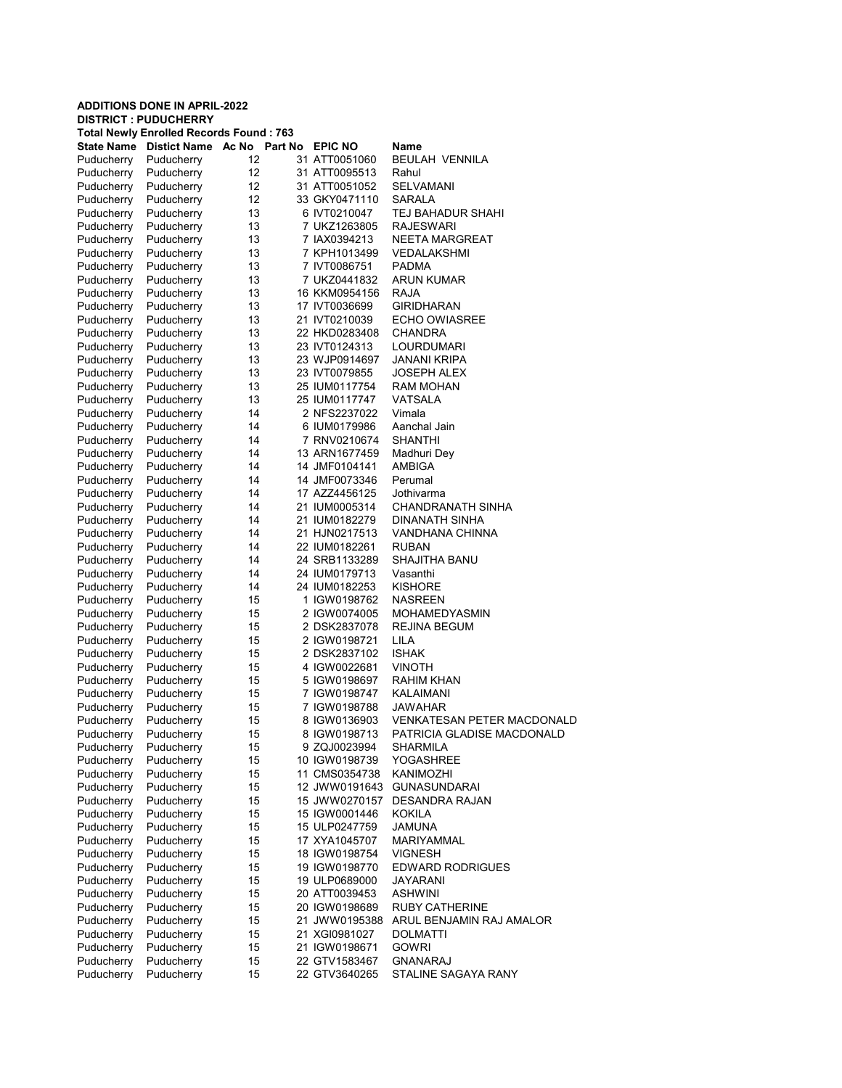|                          | <b>ADDITIONS DONE IN APRIL-2022</b>                                           |          |                                |                                   |
|--------------------------|-------------------------------------------------------------------------------|----------|--------------------------------|-----------------------------------|
|                          | <b>DISTRICT: PUDUCHERRY</b><br><b>Total Newly Enrolled Records Found: 763</b> |          |                                |                                   |
|                          | State Name Distict Name Ac No Part No                                         |          | <b>EPIC NO</b>                 | Name                              |
| Puducherry               | Puducherry                                                                    | 12       | 31 ATT0051060                  | <b>BEULAH VENNILA</b>             |
| Puducherry               | Puducherry                                                                    | 12       | 31 ATT0095513                  | Rahul                             |
| Puducherry               | Puducherry                                                                    | 12       | 31 ATT0051052                  | SELVAMANI                         |
| Puducherry               | Puducherry                                                                    | 12       | 33 GKY0471110                  | SARALA                            |
| Puducherry               | Puducherry                                                                    | 13       | 6 IVT0210047                   | TEJ BAHADUR SHAHI                 |
| Puducherry               | Puducherry                                                                    | 13       | 7 UKZ1263805                   | RAJESWARI                         |
| Puducherry               | Puducherry                                                                    | 13       | 7 IAX0394213                   | NEETA MARGREAT                    |
| Puducherry               | Puducherry                                                                    | 13       | 7 KPH1013499                   | VEDALAKSHMI                       |
| Puducherry               | Puducherry                                                                    | 13       | 7 IVT0086751                   | PADMA                             |
| Puducherry               | Puducherry                                                                    | 13       | 7 UKZ0441832                   | ARUN KUMAR                        |
| Puducherry               | Puducherry                                                                    | 13       | 16 KKM0954156                  | RAJA                              |
| Puducherry               | Puducherry                                                                    | 13       | 17 IVT0036699                  | GIRIDHARAN                        |
| Puducherry<br>Puducherry | Puducherry<br>Puducherry                                                      | 13<br>13 | 21 IVT0210039<br>22 HKD0283408 | ECHO OWIASREE<br>CHANDRA          |
| Puducherry               | Puducherry                                                                    | 13       | 23 IVT0124313                  | LOURDUMARI                        |
| Puducherry               | Puducherry                                                                    | 13       | 23 WJP0914697                  | JANANI KRIPA                      |
| Puducherry               | Puducherry                                                                    | 13       | 23 IVT0079855                  | JOSEPH ALEX                       |
| Puducherry               | Puducherry                                                                    | 13       | 25 IUM0117754                  | RAM MOHAN                         |
| Puducherry               | Puducherry                                                                    | 13       | 25 IUM0117747                  | <b>VATSALA</b>                    |
| Puducherry               | Puducherry                                                                    | 14       | 2 NFS2237022                   | Vimala                            |
| Puducherry               | Puducherry                                                                    | 14       | 6 IUM0179986                   | Aanchal Jain                      |
| Puducherry               | Puducherry                                                                    | 14       | 7 RNV0210674                   | SHANTHI                           |
| Puducherry               | Puducherry                                                                    | 14       | 13 ARN1677459                  | Madhuri Dey                       |
| Puducherry               | Puducherry                                                                    | 14       | 14 JMF0104141                  | <b>AMBIGA</b>                     |
| Puducherry               | Puducherry                                                                    | 14       | 14 JMF0073346                  | Perumal                           |
| Puducherry               | Puducherry                                                                    | 14       | 17 AZZ4456125                  | Jothivarma                        |
| Puducherry               | Puducherry                                                                    | 14       | 21 IUM0005314                  | CHANDRANATH SINHA                 |
| Puducherry               | Puducherry                                                                    | 14       | 21 IUM0182279                  | DINANATH SINHA                    |
| Puducherry               | Puducherry                                                                    | 14       | 21 HJN0217513                  | VANDHANA CHINNA                   |
| Puducherry               | Puducherry                                                                    | 14       | 22 IUM0182261                  | RUBAN                             |
| Puducherry               | Puducherry                                                                    | 14       | 24 SRB1133289                  | SHAJITHA BANU                     |
| Puducherry               | Puducherry                                                                    | 14       | 24 IUM0179713                  | Vasanthi                          |
| Puducherry<br>Puducherry | Puducherry<br>Puducherry                                                      | 14<br>15 | 24 IUM0182253<br>1 IGW0198762  | KISHORE<br>NASREEN                |
| Puducherry               | Puducherry                                                                    | 15       | 2 IGW0074005                   | MOHAMEDYASMIN                     |
| Puducherry               | Puducherry                                                                    | 15       | 2 DSK2837078                   | REJINA BEGUM                      |
| Puducherry               | Puducherry                                                                    | 15       | 2 IGW0198721                   | LILA                              |
| Puducherry               | Puducherry                                                                    | 15       | 2 DSK2837102                   | <b>ISHAK</b>                      |
| Puducherry               | Puducherry                                                                    | 15       | 4 IGW0022681                   | VINOTH                            |
| Puducherry               | Puducherry                                                                    | 15       | 5 IGW0198697                   | RAHIM KHAN                        |
| Puducherry               | Puducherry                                                                    | 15       | 7 IGW0198747                   | KALAIMANI                         |
| Puducherry               | Puducherry                                                                    | 15       | 7 IGW0198788                   | JAWAHAR                           |
| Puducherry               | Puducherry                                                                    | 15       | 8 IGW0136903                   | <b>VENKATESAN PETER MACDONALD</b> |
| Puducherry               | Puducherry                                                                    | 15       | 8 IGW0198713                   | PATRICIA GLADISE MACDONALD        |
| Puducherry               | Puducherry                                                                    | 15       | 9 ZQJ0023994                   | SHARMILA                          |
| Puducherry               | Puducherry                                                                    | 15       | 10 IGW0198739                  | YOGASHREE                         |
| Puducherry               | Puducherry                                                                    | 15       | 11 CMS0354738                  | KANIMOZHI                         |
| Puducherry               | Puducherry                                                                    | 15       | 12 JWW0191643                  | <b>GUNASUNDARAI</b>               |
| Puducherry               | Puducherry                                                                    | 15       | 15 JWW0270157                  | <b>DESANDRA RAJAN</b>             |
| Puducherry<br>Puducherry | Puducherry<br>Puducherry                                                      | 15       | 15 IGW0001446<br>15 ULP0247759 | KOKILA                            |
| Puducherry               | Puducherry                                                                    | 15<br>15 | 17 XYA1045707                  | JAMUNA<br>MARIYAMMAL              |
| Puducherry               | Puducherry                                                                    | 15       | 18 IGW0198754                  | <b>VIGNESH</b>                    |
| Puducherry               | Puducherry                                                                    | 15       | 19 IGW0198770                  | <b>EDWARD RODRIGUES</b>           |
| Puducherry               | Puducherry                                                                    | 15       | 19 ULP0689000                  | JAYARANI                          |
| Puducherry               | Puducherry                                                                    | 15       | 20 ATT0039453                  | <b>ASHWINI</b>                    |
| Puducherry               | Puducherry                                                                    | 15       | 20 IGW0198689                  | RUBY CATHERINE                    |
| Puducherry               | Puducherry                                                                    | 15       | 21 JWW0195388                  | ARUL BENJAMIN RAJ AMALOR          |
| Puducherry               | Puducherry                                                                    | 15       | 21 XGI0981027                  | DOLMATTI                          |
| Puducherry               | Puducherry                                                                    | 15       | 21 IGW0198671                  | <b>GOWRI</b>                      |
| Puducherry               | Puducherry                                                                    | 15       | 22 GTV1583467                  | GNANARAJ                          |
| Puducherry               | Puducherry                                                                    | 15       | 22 GTV3640265                  | STALINE SAGAYA RANY               |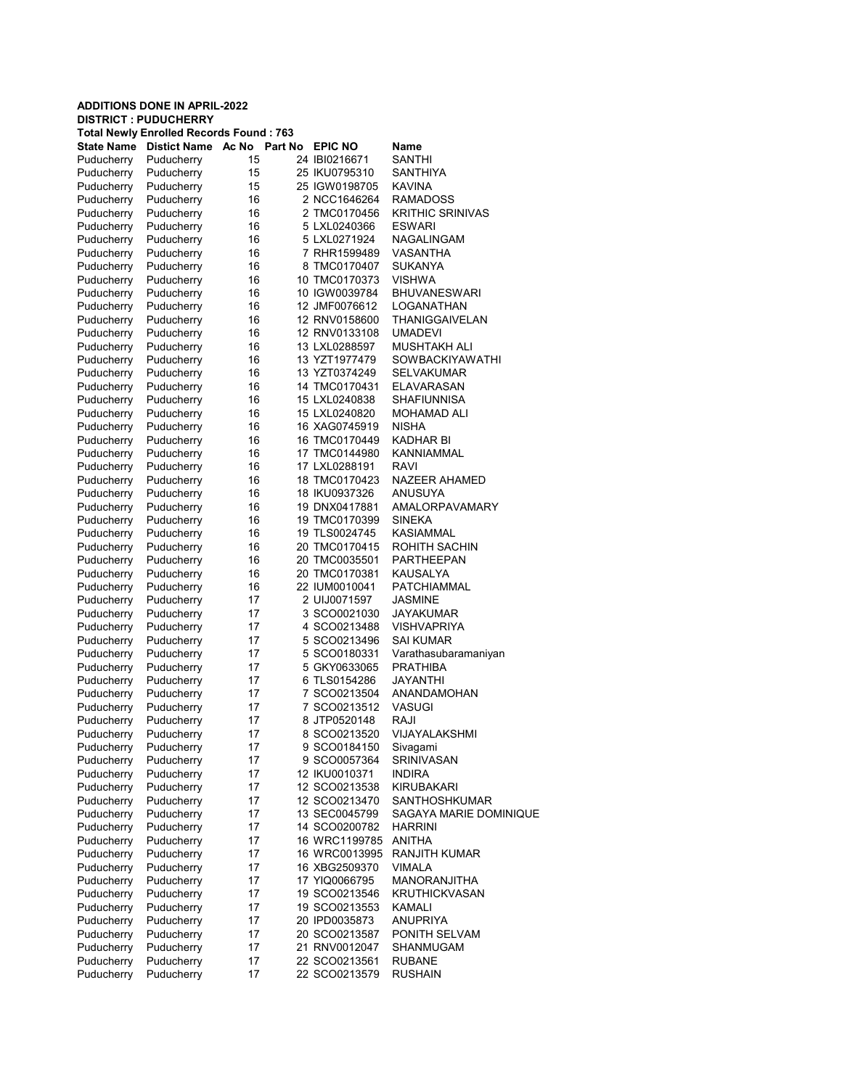|                          | <b>ADDITIONS DONE IN APRIL-2022</b><br><b>DISTRICT: PUDUCHERRY</b> |                  |  |                                |                                   |  |  |  |
|--------------------------|--------------------------------------------------------------------|------------------|--|--------------------------------|-----------------------------------|--|--|--|
|                          | <b>Total Newly Enrolled Records Found: 763</b>                     |                  |  |                                |                                   |  |  |  |
| <b>State Name</b>        | <b>Distict Name</b>                                                | Ac No<br>Part No |  | <b>EPIC NO</b>                 | Name                              |  |  |  |
| Puducherry               | Puducherry                                                         | 15               |  | 24 IBI0216671                  | SANTHI                            |  |  |  |
| Puducherry               | Puducherry                                                         | 15               |  | 25 IKU0795310                  | SANTHIYA                          |  |  |  |
| Puducherry               | Puducherry                                                         | 15               |  | 25 IGW0198705                  | <b>KAVINA</b>                     |  |  |  |
| Puducherry               | Puducherry                                                         | 16               |  | 2 NCC1646264                   | <b>RAMADOSS</b>                   |  |  |  |
| Puducherry               | Puducherry                                                         | 16               |  | 2 TMC0170456                   | <b>KRITHIC SRINIVAS</b>           |  |  |  |
| Puducherry               | Puducherry                                                         | 16               |  | 5 LXL0240366                   | <b>ESWARI</b>                     |  |  |  |
| Puducherry               | Puducherry                                                         | 16               |  | 5 LXL0271924                   | NAGALINGAM                        |  |  |  |
| Puducherry               | Puducherry                                                         | 16               |  | 7 RHR1599489                   | VASANTHA                          |  |  |  |
| Puducherry               | Puducherry                                                         | 16               |  | 8 TMC0170407                   | SUKANYA                           |  |  |  |
| Puducherry               | Puducherry                                                         | 16               |  | 10 TMC0170373                  | <b>VISHWA</b>                     |  |  |  |
| Puducherry               | Puducherry                                                         | 16               |  | 10 IGW0039784                  | <b>BHUVANESWARI</b>               |  |  |  |
| Puducherry               | Puducherry                                                         | 16               |  | 12 JMF0076612                  | LOGANATHAN                        |  |  |  |
| Puducherry               | Puducherry                                                         | 16               |  | 12 RNV0158600                  | THANIGGAIVELAN<br><b>UMADEVI</b>  |  |  |  |
| Puducherry<br>Puducherry | Puducherry<br>Puducherry                                           | 16<br>16         |  | 12 RNV0133108<br>13 LXL0288597 | <b>MUSHTAKH ALI</b>               |  |  |  |
| Puducherry               | Puducherry                                                         | 16               |  | 13 YZT1977479                  | SOWBACKIYAWATHI                   |  |  |  |
| Puducherry               | Puducherry                                                         | 16               |  | 13 YZT0374249                  | SELVAKUMAR                        |  |  |  |
| Puducherry               | Puducherry                                                         | 16               |  | 14 TMC0170431                  | ELAVARASAN                        |  |  |  |
| Puducherry               | Puducherry                                                         | 16               |  | 15 LXL0240838                  | <b>SHAFIUNNISA</b>                |  |  |  |
| Puducherry               | Puducherry                                                         | 16               |  | 15 LXL0240820                  | MOHAMAD ALI                       |  |  |  |
| Puducherry               | Puducherry                                                         | 16               |  | 16 XAG0745919                  | <b>NISHA</b>                      |  |  |  |
| Puducherry               | Puducherry                                                         | 16               |  | 16 TMC0170449                  | KADHAR BI                         |  |  |  |
| Puducherry               | Puducherry                                                         | 16               |  | 17 TMC0144980                  | KANNIAMMAL                        |  |  |  |
| Puducherry               | Puducherry                                                         | 16               |  | 17 LXL0288191                  | <b>RAVI</b>                       |  |  |  |
| Puducherry               | Puducherry                                                         | 16               |  | 18 TMC0170423                  | NAZEER AHAMED                     |  |  |  |
| Puducherry               | Puducherry                                                         | 16               |  | 18 IKU0937326                  | ANUSUYA                           |  |  |  |
| Puducherry               | Puducherry                                                         | 16               |  | 19 DNX0417881                  | <b>AMALORPAVAMARY</b>             |  |  |  |
| Puducherry               | Puducherry                                                         | 16               |  | 19 TMC0170399                  | SINEKA                            |  |  |  |
| Puducherry               | Puducherry                                                         | 16               |  | 19 TLS0024745                  | <b>KASIAMMAL</b>                  |  |  |  |
| Puducherry               | Puducherry                                                         | 16               |  | 20 TMC0170415                  | ROHITH SACHIN                     |  |  |  |
| Puducherry               | Puducherry                                                         | 16               |  | 20 TMC0035501                  | PARTHEEPAN                        |  |  |  |
| Puducherry               | Puducherry                                                         | 16               |  | 20 TMC0170381                  | KAUSALYA                          |  |  |  |
| Puducherry               | Puducherry                                                         | 16               |  | 22 IUM0010041                  | PATCHIAMMAL                       |  |  |  |
| Puducherry               | Puducherry                                                         | 17               |  | 2 UIJ0071597                   | JASMINE                           |  |  |  |
| Puducherry               | Puducherry                                                         | 17               |  | 3 SCO0021030                   | JAYAKUMAR                         |  |  |  |
| Puducherry               | Puducherry<br>Puducherry                                           | 17               |  | 4 SCO0213488<br>5 SCO0213496   | <b>VISHVAPRIYA</b>                |  |  |  |
| Puducherry<br>Puducherry | Puducherry                                                         | 17<br>17         |  | 5 SCO0180331                   | SAI KUMAR<br>Varathasubaramaniyan |  |  |  |
| Puducherry               | Puducherry                                                         | 17               |  | 5 GKY0633065                   | <b>PRATHIBA</b>                   |  |  |  |
| Puducherry               | Puducherry                                                         | 17               |  | 6 TLS0154286                   | JAYANTHI                          |  |  |  |
| Puducherry               | Puducherry                                                         | 17               |  | 7 SCO0213504                   | <b>ANANDAMOHAN</b>                |  |  |  |
| Puducherry               | Puducherry                                                         | 17               |  | 7 SCO0213512                   | VASUGI                            |  |  |  |
| Puducherry               | Puducherry                                                         | 17               |  | 8 JTP0520148                   | RAJI                              |  |  |  |
| Puducherry               | Puducherry                                                         | 17               |  | 8 SCO0213520                   | VIJAYALAKSHMI                     |  |  |  |
| Puducherry               | Puducherry                                                         | 17               |  | 9 SCO0184150                   | Sivagami                          |  |  |  |
| Puducherry               | Puducherry                                                         | 17               |  | 9 SCO0057364                   | SRINIVASAN                        |  |  |  |
| Puducherry               | Puducherry                                                         | 17               |  | 12 IKU0010371                  | <b>INDIRA</b>                     |  |  |  |
| Puducherry               | Puducherry                                                         | 17               |  | 12 SCO0213538                  | KIRUBAKARI                        |  |  |  |
| Puducherry               | Puducherry                                                         | 17               |  | 12 SCO0213470                  | <b>SANTHOSHKUMAR</b>              |  |  |  |
| Puducherry               | Puducherry                                                         | 17               |  | 13 SEC0045799                  | SAGAYA MARIE DOMINIQUE            |  |  |  |
| Puducherry               | Puducherry                                                         | 17               |  | 14 SCO0200782                  | <b>HARRINI</b>                    |  |  |  |
| Puducherry               | Puducherry                                                         | 17               |  | 16 WRC1199785                  | ANITHA                            |  |  |  |
| Puducherry               | Puducherry                                                         | 17               |  | 16 WRC0013995                  | <b>RANJITH KUMAR</b>              |  |  |  |
| Puducherry               | Puducherry                                                         | 17               |  | 16 XBG2509370                  | <b>VIMALA</b>                     |  |  |  |
| Puducherry               | Puducherry                                                         | 17               |  | 17 YIQ0066795                  | MANORANJITHA                      |  |  |  |
| Puducherry               | Puducherry                                                         | 17               |  | 19 SCO0213546                  | <b>KRUTHICKVASAN</b>              |  |  |  |
| Puducherry               | Puducherry                                                         | 17               |  | 19 SCO0213553                  | KAMALI                            |  |  |  |
| Puducherry               | Puducherry                                                         | 17               |  | 20 IPD0035873                  | <b>ANUPRIYA</b>                   |  |  |  |
| Puducherry               | Puducherry                                                         | 17               |  | 20 SCO0213587                  | PONITH SELVAM                     |  |  |  |
| Puducherry               | Puducherry                                                         | 17               |  | 21 RNV0012047                  | SHANMUGAM                         |  |  |  |
| Puducherry               | Puducherry                                                         | 17               |  | 22 SCO0213561                  | <b>RUBANE</b>                     |  |  |  |
| Puducherry               | Puducherry                                                         | 17               |  | 22 SCO0213579                  | <b>RUSHAIN</b>                    |  |  |  |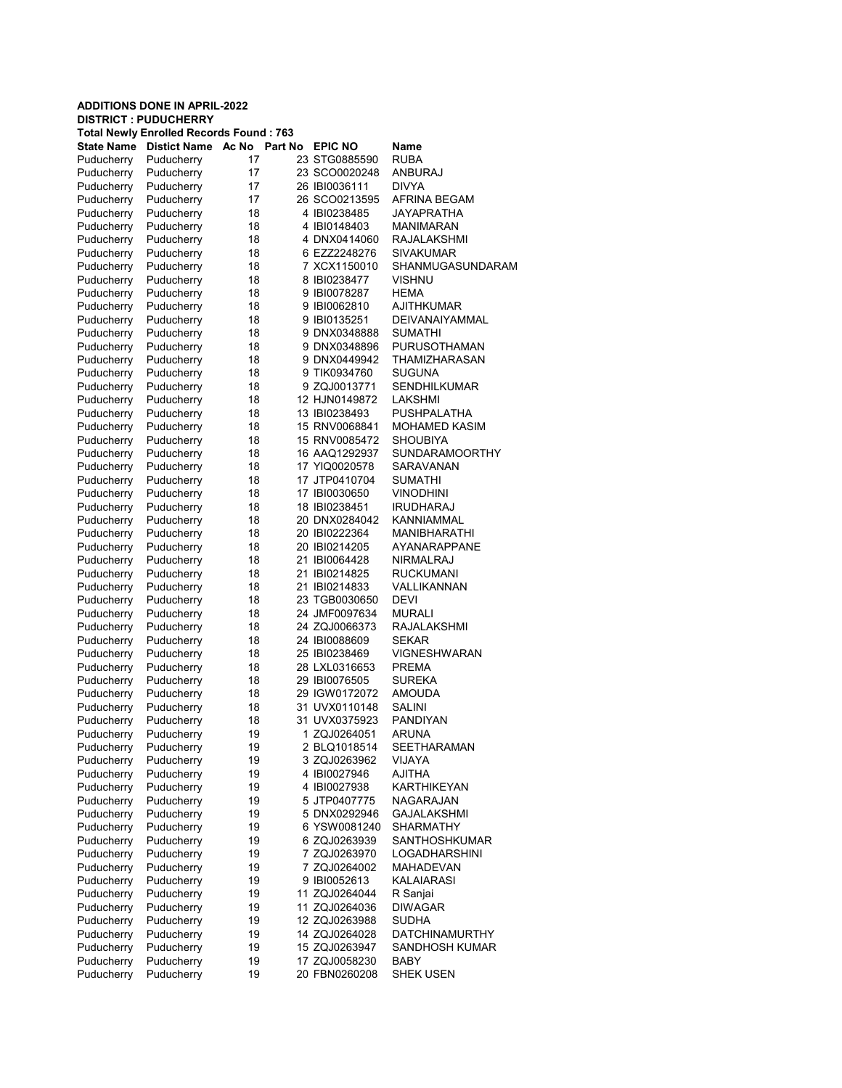|                          | <b>ADDITIONS DONE IN APRIL-2022</b>                                           |          |                                |                             |
|--------------------------|-------------------------------------------------------------------------------|----------|--------------------------------|-----------------------------|
|                          | <b>DISTRICT: PUDUCHERRY</b><br><b>Total Newly Enrolled Records Found: 763</b> |          |                                |                             |
| State Name               | Distict Name Ac No Part No EPIC NO                                            |          |                                | Name                        |
| Puducherry               | Puducherry                                                                    | 17       | 23 STG0885590                  | RUBA                        |
| Puducherry               | Puducherry                                                                    | 17       | 23 SCO0020248                  | ANBURAJ                     |
| Puducherry               | Puducherry                                                                    | 17       | 26 IBI0036111                  | <b>DIVYA</b>                |
| Puducherry               | Puducherry                                                                    | 17       | 26 SCO0213595                  | AFRINA BEGAM                |
| Puducherry               | Puducherry                                                                    | 18       | 4 IBI0238485                   | JAYAPRATHA                  |
| Puducherry               | Puducherry                                                                    | 18       | 4 IBI0148403                   | MANIMARAN                   |
| Puducherry               | Puducherry                                                                    | 18       | 4 DNX0414060                   | RAJALAKSHMI                 |
| Puducherry               | Puducherry                                                                    | 18       | 6 EZZ2248276                   | <b>SIVAKUMAR</b>            |
| Puducherry               | Puducherry                                                                    | 18       | 7 XCX1150010                   | SHANMUGASUNDARAM            |
| Puducherry<br>Puducherry | Puducherry<br>Puducherry                                                      | 18<br>18 | 8 IBI0238477<br>9 IBI0078287   | VISHNU<br>HEMA              |
| Puducherry               | Puducherry                                                                    | 18       | 9 IBI0062810                   | AJITHKUMAR                  |
| Puducherry               | Puducherry                                                                    | 18       | 9 IBI0135251                   | DEIVANAIYAMMAL              |
| Puducherry               | Puducherry                                                                    | 18       | 9 DNX0348888                   | <b>SUMATHI</b>              |
| Puducherry               | Puducherry                                                                    | 18       | 9 DNX0348896                   | PURUSOTHAMAN                |
| Puducherry               | Puducherry                                                                    | 18       | 9 DNX0449942                   | THAMIZHARASAN               |
| Puducherry               | Puducherry                                                                    | 18       | 9 TIK0934760                   | SUGUNA                      |
| Puducherry               | Puducherry                                                                    | 18       | 9 ZQJ0013771                   | <b>SENDHILKUMAR</b>         |
| Puducherry               | Puducherry                                                                    | 18       | 12 HJN0149872                  | LAKSHMI                     |
| Puducherry               | Puducherry                                                                    | 18       | 13 IBI0238493                  | <b>PUSHPALATHA</b>          |
| Puducherry               | Puducherry                                                                    | 18       | 15 RNV0068841                  | <b>MOHAMED KASIM</b>        |
| Puducherry               | Puducherry                                                                    | 18       | 15 RNV0085472                  | SHOUBIYA                    |
| Puducherry               | Puducherry                                                                    | 18       | 16 AAQ1292937                  | <b>SUNDARAMOORTHY</b>       |
| Puducherry               | Puducherry                                                                    | 18       | 17 YIQ0020578                  | SARAVANAN                   |
| Puducherry               | Puducherry                                                                    | 18       | 17 JTP0410704<br>17 IBI0030650 | <b>SUMATHI</b><br>VINODHINI |
| Puducherry<br>Puducherry | Puducherry<br>Puducherry                                                      | 18<br>18 | 18 IBI0238451                  | <b>IRUDHARAJ</b>            |
| Puducherry               | Puducherry                                                                    | 18       | 20 DNX0284042                  | KANNIAMMAL                  |
| Puducherry               | Puducherry                                                                    | 18       | 20 IBI0222364                  | MANIBHARATHI                |
| Puducherry               | Puducherry                                                                    | 18       | 20 IBI0214205                  | AYANARAPPANE                |
| Puducherry               | Puducherry                                                                    | 18       | 21 IBI0064428                  | NIRMALRAJ                   |
| Puducherry               | Puducherry                                                                    | 18       | 21 IBI0214825                  | RUCKUMANI                   |
| Puducherry               | Puducherry                                                                    | 18       | 21 IBI0214833                  | VALLIKANNAN                 |
| Puducherry               | Puducherry                                                                    | 18       | 23 TGB0030650                  | DEVI                        |
| Puducherry               | Puducherry                                                                    | 18       | 24 JMF0097634                  | <b>MURALI</b>               |
| Puducherry               | Puducherry                                                                    | 18       | 24 ZQJ0066373                  | <b>RAJALAKSHMI</b>          |
| Puducherry               | Puducherry                                                                    | 18       | 24 IBI0088609                  | <b>SEKAR</b>                |
| Puducherry               | Puducherry                                                                    | 18       | 25 IBI0238469                  | VIGNESHWARAN                |
| Puducherry               | Puducherry                                                                    | 18       | 28 LXL0316653                  | PREMA                       |
| Puducherry               | Puducherry                                                                    | 18       | 29 IBI0076505                  | <b>SUREKA</b>               |
| Puducherry               | Puducherry<br>Puducherry                                                      | 18<br>18 | 29 IGW0172072                  | AMOUDA                      |
| Puducherry<br>Puducherry | Puducherry                                                                    | 18       | 31 UVX0110148<br>31 UVX0375923 | SALINI<br><b>PANDIYAN</b>   |
| Puducherry               | Puducherry                                                                    | 19       | 1 ZQJ0264051                   | <b>ARUNA</b>                |
| Puducherry               | Puducherry                                                                    | 19       | 2 BLQ1018514                   | <b>SEETHARAMAN</b>          |
| Puducherry               | Puducherry                                                                    | 19       | 3 ZQJ0263962                   | VIJAYA                      |
| Puducherry               | Puducherry                                                                    | 19       | 4 IBI0027946                   | AJITHA                      |
| Puducherry               | Puducherry                                                                    | 19       | 4 IBI0027938                   | <b>KARTHIKEYAN</b>          |
| Puducherry               | Puducherry                                                                    | 19       | 5 JTP0407775                   | NAGARAJAN                   |
| Puducherry               | Puducherry                                                                    | 19       | 5 DNX0292946                   | GAJALAKSHMI                 |
| Puducherry               | Puducherry                                                                    | 19       | 6 YSW0081240                   | SHARMATHY                   |
| Puducherry               | Puducherry                                                                    | 19       | 6 ZQJ0263939                   | SANTHOSHKUMAR               |
| Puducherry               | Puducherry                                                                    | 19       | 7 ZQJ0263970                   | <b>LOGADHARSHINI</b>        |
| Puducherry               | Puducherry                                                                    | 19       | 7 ZQJ0264002                   | MAHADEVAN                   |
| Puducherry               | Puducherry                                                                    | 19       | 9 IBI0052613                   | <b>KALAIARASI</b>           |
| Puducherry               | Puducherry                                                                    | 19       | 11 ZQJ0264044                  | R Sanjai                    |
| Puducherry<br>Puducherry | Puducherry<br>Puducherry                                                      | 19<br>19 | 11 ZQJ0264036<br>12 ZQJ0263988 | <b>DIWAGAR</b><br>SUDHA     |
| Puducherry               | Puducherry                                                                    | 19       | 14 ZQJ0264028                  | <b>DATCHINAMURTHY</b>       |
| Puducherry               | Puducherry                                                                    | 19       | 15 ZQJ0263947                  | SANDHOSH KUMAR              |
| Puducherry               | Puducherry                                                                    | 19       | 17 ZQJ0058230                  | BABY                        |
| Puducherry               | Puducherry                                                                    | 19       | 20 FBN0260208                  | SHEK USEN                   |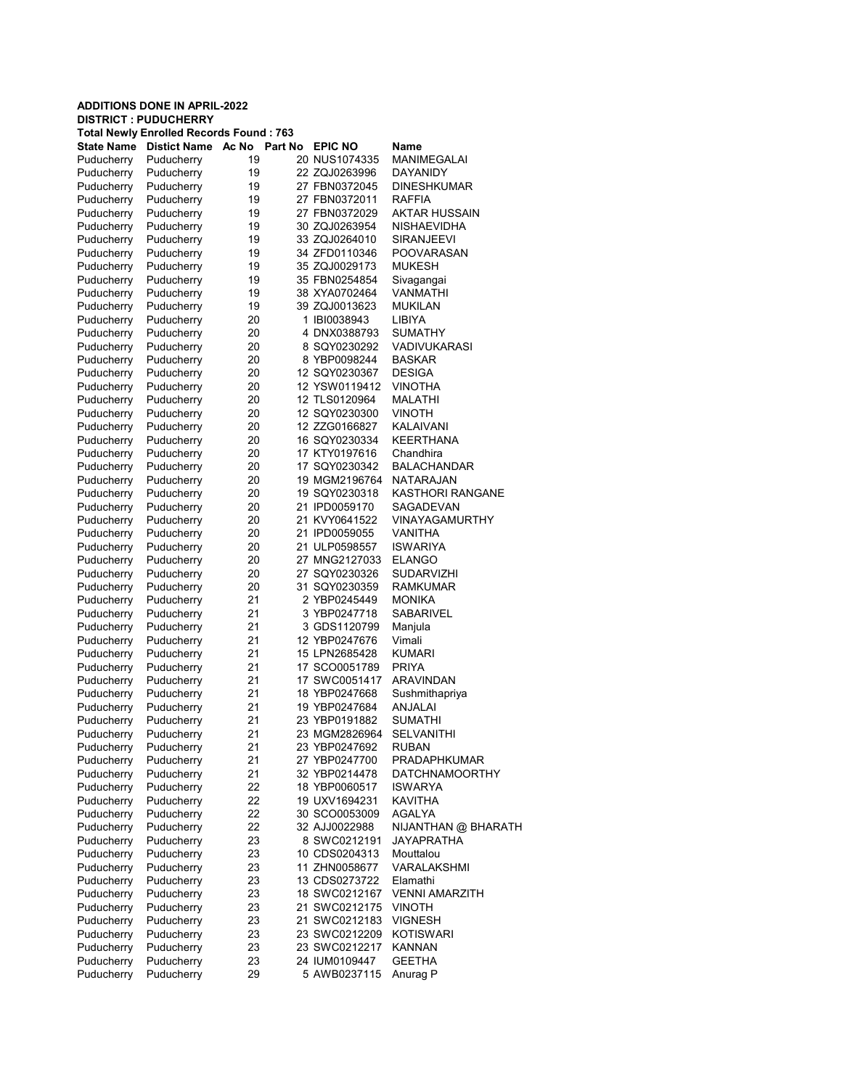| <b>ADDITIONS DONE IN APRIL-2022</b> |                                                                                |                  |  |                                |                                   |  |  |  |  |  |
|-------------------------------------|--------------------------------------------------------------------------------|------------------|--|--------------------------------|-----------------------------------|--|--|--|--|--|
|                                     | <b>DISTRICT : PUDUCHERRY</b><br><b>Total Newly Enrolled Records Found: 763</b> |                  |  |                                |                                   |  |  |  |  |  |
| State Name                          | <b>Distict Name</b>                                                            | Part No<br>Ac No |  | <b>EPIC NO</b>                 | Name                              |  |  |  |  |  |
| Puducherry                          | Puducherry                                                                     | 19               |  | 20 NUS1074335                  | <b>MANIMEGALAI</b>                |  |  |  |  |  |
| Puducherry                          | Puducherry                                                                     | 19               |  | 22 ZQJ0263996                  | DAYANIDY                          |  |  |  |  |  |
| Puducherry                          | Puducherry                                                                     | 19               |  | 27 FBN0372045                  | <b>DINESHKUMAR</b>                |  |  |  |  |  |
| Puducherry                          | Puducherry                                                                     | 19               |  | 27 FBN0372011                  | RAFFIA                            |  |  |  |  |  |
| Puducherry                          | Puducherry                                                                     | 19               |  | 27 FBN0372029                  | AKTAR HUSSAIN                     |  |  |  |  |  |
| Puducherry                          | Puducherry                                                                     | 19               |  | 30 ZQJ0263954                  | NISHAEVIDHA                       |  |  |  |  |  |
| Puducherry                          | Puducherry                                                                     | 19               |  | 33 ZQJ0264010                  | <b>SIRANJEEVI</b>                 |  |  |  |  |  |
| Puducherry                          | Puducherry                                                                     | 19               |  | 34 ZFD0110346                  | POOVARASAN                        |  |  |  |  |  |
| Puducherry                          | Puducherry                                                                     | 19               |  | 35 ZQJ0029173                  | <b>MUKESH</b>                     |  |  |  |  |  |
| Puducherry                          | Puducherry                                                                     | 19               |  | 35 FBN0254854                  | Sivagangai                        |  |  |  |  |  |
| Puducherry                          | Puducherry                                                                     | 19               |  | 38 XYA0702464                  | VANMATHI                          |  |  |  |  |  |
| Puducherry                          | Puducherry                                                                     | 19               |  | 39 ZQJ0013623                  | <b>MUKILAN</b>                    |  |  |  |  |  |
| Puducherry                          | Puducherry                                                                     | 20               |  | 1 IBI0038943                   | LIBIYA                            |  |  |  |  |  |
| Puducherry                          | Puducherry                                                                     | 20               |  | 4 DNX0388793                   | SUMATHY                           |  |  |  |  |  |
| Puducherry                          | Puducherry                                                                     | 20               |  | 8 SQY0230292                   | VADIVUKARASI                      |  |  |  |  |  |
| Puducherry                          | Puducherry                                                                     | 20               |  | 8 YBP0098244                   | <b>BASKAR</b>                     |  |  |  |  |  |
| Puducherry                          | Puducherry                                                                     | 20               |  | 12 SQY0230367                  | <b>DESIGA</b>                     |  |  |  |  |  |
| Puducherry                          | Puducherry                                                                     | 20               |  | 12 YSW0119412                  | VINOTHA                           |  |  |  |  |  |
| Puducherry                          | Puducherry                                                                     | 20               |  | 12 TLS0120964                  | <b>MALATHI</b>                    |  |  |  |  |  |
| Puducherry                          | Puducherry                                                                     | 20               |  | 12 SQY0230300                  | <b>VINOTH</b>                     |  |  |  |  |  |
| Puducherry                          | Puducherry                                                                     | 20               |  | 12 ZZG0166827                  | KALAIVANI                         |  |  |  |  |  |
| Puducherry                          | Puducherry                                                                     | 20               |  | 16 SQY0230334                  | <b>KEERTHANA</b>                  |  |  |  |  |  |
| Puducherry                          | Puducherry                                                                     | 20               |  | 17 KTY0197616                  | Chandhira                         |  |  |  |  |  |
| Puducherry                          | Puducherry                                                                     | 20               |  | 17 SQY0230342                  | <b>BALACHANDAR</b>                |  |  |  |  |  |
| Puducherry                          | Puducherry                                                                     | 20               |  | 19 MGM2196764                  | <b>NATARAJAN</b>                  |  |  |  |  |  |
| Puducherry                          | Puducherry                                                                     | 20               |  | 19 SQY0230318                  | <b>KASTHORI RANGANE</b>           |  |  |  |  |  |
| Puducherry                          | Puducherry<br>Puducherry                                                       | 20               |  | 21 IPD0059170                  | SAGADEVAN                         |  |  |  |  |  |
| Puducherry<br>Puducherry            | Puducherry                                                                     | 20<br>20         |  | 21 KVY0641522<br>21 IPD0059055 | VINAYAGAMURTHY<br>VANITHA         |  |  |  |  |  |
| Puducherry                          | Puducherry                                                                     | 20               |  | 21 ULP0598557                  | <b>ISWARIYA</b>                   |  |  |  |  |  |
| Puducherry                          | Puducherry                                                                     | 20               |  | 27 MNG2127033                  | <b>ELANGO</b>                     |  |  |  |  |  |
| Puducherry                          | Puducherry                                                                     | 20               |  | 27 SQY0230326                  | <b>SUDARVIZHI</b>                 |  |  |  |  |  |
| Puducherry                          | Puducherry                                                                     | 20               |  | 31 SQY0230359                  | RAMKUMAR                          |  |  |  |  |  |
| Puducherry                          | Puducherry                                                                     | 21               |  | 2 YBP0245449                   | <b>MONIKA</b>                     |  |  |  |  |  |
| Puducherry                          | Puducherry                                                                     | 21               |  | 3 YBP0247718                   | SABARIVEL                         |  |  |  |  |  |
| Puducherry                          | Puducherry                                                                     | 21               |  | 3 GDS1120799                   | Manjula                           |  |  |  |  |  |
| Puducherry                          | Puducherry                                                                     | 21               |  | 12 YBP0247676                  | Vimali                            |  |  |  |  |  |
| Puducherry                          | Puducherry                                                                     | 21               |  | 15 LPN2685428                  | <b>KUMARI</b>                     |  |  |  |  |  |
| Puducherry                          | Puducherry                                                                     | 21               |  | 17 SCO0051789                  | <b>PRIYA</b>                      |  |  |  |  |  |
| Puducherry                          | Puducherry                                                                     | 21               |  | 17 SWC0051417                  | <b>ARAVINDAN</b>                  |  |  |  |  |  |
| Puducherry                          | Puducherry                                                                     | 21               |  | 18 YBP0247668                  | Sushmithapriya                    |  |  |  |  |  |
| Puducherry                          | Puducherry                                                                     | 21               |  | 19 YBP0247684                  | <b>ANJALAI</b>                    |  |  |  |  |  |
| Puducherry                          | Puducherry                                                                     | 21               |  | 23 YBP0191882                  | <b>SUMATHI</b>                    |  |  |  |  |  |
| Puducherry                          | Puducherry                                                                     | 21               |  | 23 MGM2826964                  | <b>SELVANITHI</b>                 |  |  |  |  |  |
| Puducherry                          | Puducherry                                                                     | 21               |  | 23 YBP0247692                  | <b>RUBAN</b>                      |  |  |  |  |  |
| Puducherry                          | Puducherry                                                                     | 21               |  | 27 YBP0247700                  | PRADAPHKUMAR                      |  |  |  |  |  |
| Puducherry                          | Puducherry                                                                     | 21               |  | 32 YBP0214478                  | <b>DATCHNAMOORTHY</b>             |  |  |  |  |  |
| Puducherry                          | Puducherry                                                                     | 22               |  | 18 YBP0060517                  | <b>ISWARYA</b>                    |  |  |  |  |  |
| Puducherry                          | Puducherry<br>Puducherry                                                       | 22               |  | 19 UXV1694231<br>30 SCO0053009 | KAVITHA                           |  |  |  |  |  |
| Puducherry<br>Puducherry            | Puducherry                                                                     | 22<br>22         |  | 32 AJJ0022988                  | AGALYA                            |  |  |  |  |  |
| Puducherry                          | Puducherry                                                                     | 23               |  | 8 SWC0212191                   | NIJANTHAN @ BHARATH<br>JAYAPRATHA |  |  |  |  |  |
| Puducherry                          | Puducherry                                                                     | 23               |  | 10 CDS0204313                  | Mouttalou                         |  |  |  |  |  |
| Puducherry                          | Puducherry                                                                     | 23               |  | 11 ZHN0058677                  | VARALAKSHMI                       |  |  |  |  |  |
| Puducherry                          | Puducherry                                                                     | 23               |  | 13 CDS0273722                  | Elamathi                          |  |  |  |  |  |
| Puducherry                          | Puducherry                                                                     | 23               |  | 18 SWC0212167                  | <b>VENNI AMARZITH</b>             |  |  |  |  |  |
| Puducherry                          | Puducherry                                                                     | 23               |  | 21 SWC0212175                  | <b>VINOTH</b>                     |  |  |  |  |  |
| Puducherry                          | Puducherry                                                                     | 23               |  | 21 SWC0212183                  | VIGNESH                           |  |  |  |  |  |
| Puducherry                          | Puducherry                                                                     | 23               |  | 23 SWC0212209                  | <b>KOTISWARI</b>                  |  |  |  |  |  |
| Puducherry                          | Puducherry                                                                     | 23               |  | 23 SWC0212217                  | KANNAN                            |  |  |  |  |  |
| Puducherry                          | Puducherry                                                                     | 23               |  | 24 IUM0109447                  | <b>GEETHA</b>                     |  |  |  |  |  |
| Puducherry                          | Puducherry                                                                     | 29               |  | 5 AWB0237115                   | Anurag P                          |  |  |  |  |  |